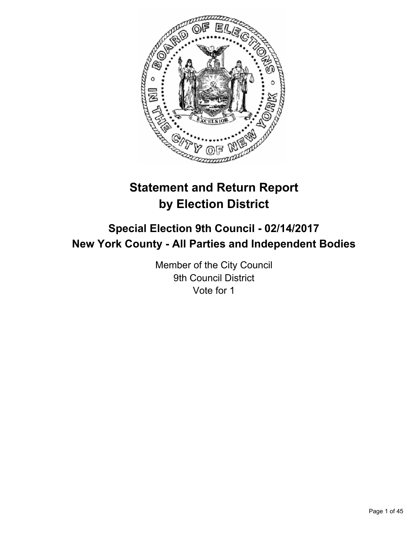

# **Statement and Return Report by Election District**

# **Special Election 9th Council - 02/14/2017 New York County - All Parties and Independent Bodies**

Member of the City Council 9th Council District Vote for 1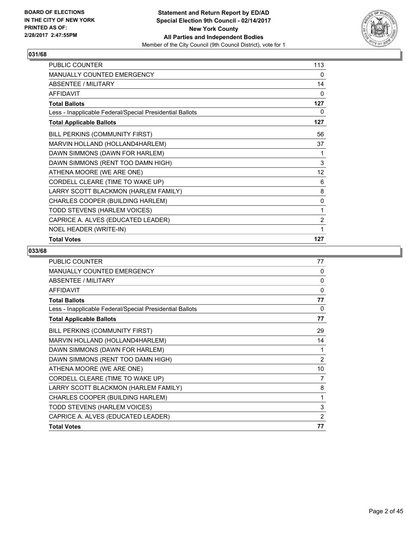

| PUBLIC COUNTER                                           | 113            |
|----------------------------------------------------------|----------------|
| MANUALLY COUNTED EMERGENCY                               | 0              |
| ABSENTEE / MILITARY                                      | 14             |
| <b>AFFIDAVIT</b>                                         | $\mathbf{0}$   |
| <b>Total Ballots</b>                                     | 127            |
| Less - Inapplicable Federal/Special Presidential Ballots | 0              |
| <b>Total Applicable Ballots</b>                          | 127            |
| BILL PERKINS (COMMUNITY FIRST)                           | 56             |
| MARVIN HOLLAND (HOLLAND4HARLEM)                          | 37             |
| DAWN SIMMONS (DAWN FOR HARLEM)                           | 1              |
| DAWN SIMMONS (RENT TOO DAMN HIGH)                        | 3              |
| ATHENA MOORE (WE ARE ONE)                                | 12             |
| CORDELL CLEARE (TIME TO WAKE UP)                         | 6              |
| LARRY SCOTT BLACKMON (HARLEM FAMILY)                     | 8              |
| CHARLES COOPER (BUILDING HARLEM)                         | 0              |
| TODD STEVENS (HARLEM VOICES)                             | 1              |
| CAPRICE A. ALVES (EDUCATED LEADER)                       | $\overline{c}$ |
| NOEL HEADER (WRITE-IN)                                   | 1              |
| <b>Total Votes</b>                                       | 127            |

| <b>PUBLIC COUNTER</b>                                    | 77             |
|----------------------------------------------------------|----------------|
| <b>MANUALLY COUNTED EMERGENCY</b>                        | 0              |
| ABSENTEE / MILITARY                                      | 0              |
| <b>AFFIDAVIT</b>                                         | $\mathbf{0}$   |
| <b>Total Ballots</b>                                     | 77             |
| Less - Inapplicable Federal/Special Presidential Ballots | 0              |
| <b>Total Applicable Ballots</b>                          | 77             |
| BILL PERKINS (COMMUNITY FIRST)                           | 29             |
| MARVIN HOLLAND (HOLLAND4HARLEM)                          | 14             |
| DAWN SIMMONS (DAWN FOR HARLEM)                           | 1              |
| DAWN SIMMONS (RENT TOO DAMN HIGH)                        | $\overline{2}$ |
| ATHENA MOORE (WE ARE ONE)                                | 10             |
| CORDELL CLEARE (TIME TO WAKE UP)                         | 7              |
| LARRY SCOTT BLACKMON (HARLEM FAMILY)                     | 8              |
| CHARLES COOPER (BUILDING HARLEM)                         | 1              |
| TODD STEVENS (HARLEM VOICES)                             | 3              |
| CAPRICE A. ALVES (EDUCATED LEADER)                       | $\overline{2}$ |
| <b>Total Votes</b>                                       | 77             |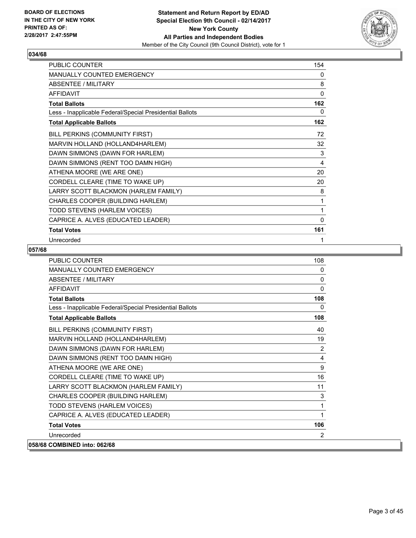

| <b>PUBLIC COUNTER</b>                                    | 154 |
|----------------------------------------------------------|-----|
| <b>MANUALLY COUNTED EMERGENCY</b>                        | 0   |
| ABSENTEE / MILITARY                                      | 8   |
| <b>AFFIDAVIT</b>                                         | 0   |
| <b>Total Ballots</b>                                     | 162 |
| Less - Inapplicable Federal/Special Presidential Ballots | 0   |
| <b>Total Applicable Ballots</b>                          | 162 |
| BILL PERKINS (COMMUNITY FIRST)                           | 72  |
| MARVIN HOLLAND (HOLLAND4HARLEM)                          | 32  |
| DAWN SIMMONS (DAWN FOR HARLEM)                           | 3   |
| DAWN SIMMONS (RENT TOO DAMN HIGH)                        | 4   |
| ATHENA MOORE (WE ARE ONE)                                | 20  |
| CORDELL CLEARE (TIME TO WAKE UP)                         | 20  |
| LARRY SCOTT BLACKMON (HARLEM FAMILY)                     | 8   |
| CHARLES COOPER (BUILDING HARLEM)                         | 1   |
| TODD STEVENS (HARLEM VOICES)                             | 1   |
| CAPRICE A. ALVES (EDUCATED LEADER)                       | 0   |
| <b>Total Votes</b>                                       | 161 |
| Unrecorded                                               | 1   |

| <b>PUBLIC COUNTER</b>                                    | 108          |
|----------------------------------------------------------|--------------|
| MANUALLY COUNTED EMERGENCY                               | 0            |
| <b>ABSENTEE / MILITARY</b>                               | $\mathbf{0}$ |
| <b>AFFIDAVIT</b>                                         | $\Omega$     |
| <b>Total Ballots</b>                                     | 108          |
| Less - Inapplicable Federal/Special Presidential Ballots | $\mathbf{0}$ |
| <b>Total Applicable Ballots</b>                          | 108          |
| BILL PERKINS (COMMUNITY FIRST)                           | 40           |
| MARVIN HOLLAND (HOLLAND4HARLEM)                          | 19           |
| DAWN SIMMONS (DAWN FOR HARLEM)                           | 2            |
| DAWN SIMMONS (RENT TOO DAMN HIGH)                        | 4            |
| ATHENA MOORE (WE ARE ONE)                                | 9            |
| CORDELL CLEARE (TIME TO WAKE UP)                         | 16           |
| LARRY SCOTT BLACKMON (HARLEM FAMILY)                     | 11           |
| CHARLES COOPER (BUILDING HARLEM)                         | 3            |
| TODD STEVENS (HARLEM VOICES)                             | 1            |
| CAPRICE A. ALVES (EDUCATED LEADER)                       | 1            |
| <b>Total Votes</b>                                       | 106          |
| Unrecorded                                               | 2            |
| 058/68 COMBINED into: 062/68                             |              |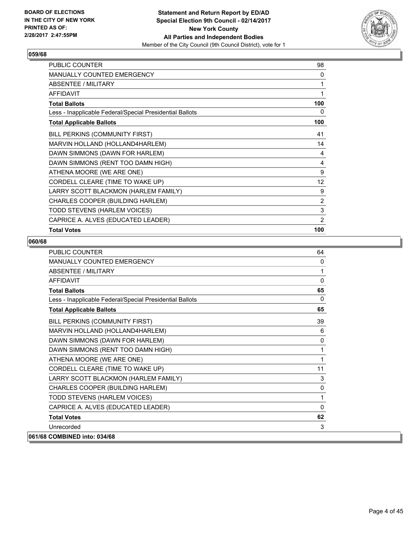

| <b>PUBLIC COUNTER</b>                                    | 98                |
|----------------------------------------------------------|-------------------|
| <b>MANUALLY COUNTED EMERGENCY</b>                        | 0                 |
| ABSENTEE / MILITARY                                      | 1                 |
| <b>AFFIDAVIT</b>                                         | 1                 |
| <b>Total Ballots</b>                                     | 100               |
| Less - Inapplicable Federal/Special Presidential Ballots | 0                 |
| <b>Total Applicable Ballots</b>                          | 100               |
| BILL PERKINS (COMMUNITY FIRST)                           | 41                |
| MARVIN HOLLAND (HOLLAND4HARLEM)                          | 14                |
| DAWN SIMMONS (DAWN FOR HARLEM)                           | 4                 |
| DAWN SIMMONS (RENT TOO DAMN HIGH)                        | 4                 |
| ATHENA MOORE (WE ARE ONE)                                | 9                 |
| CORDELL CLEARE (TIME TO WAKE UP)                         | $12 \overline{ }$ |
| LARRY SCOTT BLACKMON (HARLEM FAMILY)                     | 9                 |
| CHARLES COOPER (BUILDING HARLEM)                         | 2                 |
| TODD STEVENS (HARLEM VOICES)                             | 3                 |
| CAPRICE A. ALVES (EDUCATED LEADER)                       | $\overline{2}$    |
| <b>Total Votes</b>                                       | 100               |

| <b>PUBLIC COUNTER</b>                                    | 64           |
|----------------------------------------------------------|--------------|
| <b>MANUALLY COUNTED EMERGENCY</b>                        | $\mathbf{0}$ |
| <b>ABSENTEE / MILITARY</b>                               | 1            |
| <b>AFFIDAVIT</b>                                         | $\Omega$     |
| <b>Total Ballots</b>                                     | 65           |
| Less - Inapplicable Federal/Special Presidential Ballots | $\Omega$     |
| <b>Total Applicable Ballots</b>                          | 65           |
| BILL PERKINS (COMMUNITY FIRST)                           | 39           |
| MARVIN HOLLAND (HOLLAND4HARLEM)                          | 6            |
| DAWN SIMMONS (DAWN FOR HARLEM)                           | $\mathbf{0}$ |
| DAWN SIMMONS (RENT TOO DAMN HIGH)                        | 1            |
| ATHENA MOORE (WE ARE ONE)                                | 1            |
| CORDELL CLEARE (TIME TO WAKE UP)                         | 11           |
| LARRY SCOTT BLACKMON (HARLEM FAMILY)                     | 3            |
| CHARLES COOPER (BUILDING HARLEM)                         | 0            |
| TODD STEVENS (HARLEM VOICES)                             | 1            |
| CAPRICE A. ALVES (EDUCATED LEADER)                       | $\Omega$     |
| <b>Total Votes</b>                                       | 62           |
| Unrecorded                                               | 3            |
| 061/68 COMBINED into: 034/68                             |              |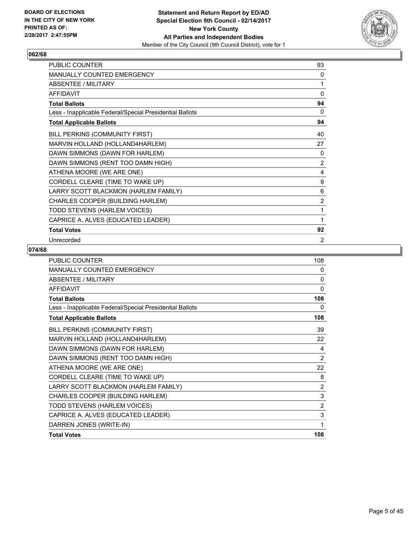

| PUBLIC COUNTER                                           | 93             |
|----------------------------------------------------------|----------------|
| MANUALLY COUNTED EMERGENCY                               | 0              |
| <b>ABSENTEE / MILITARY</b>                               | 1              |
| <b>AFFIDAVIT</b>                                         | $\mathbf 0$    |
| <b>Total Ballots</b>                                     | 94             |
| Less - Inapplicable Federal/Special Presidential Ballots | 0              |
| <b>Total Applicable Ballots</b>                          | 94             |
| BILL PERKINS (COMMUNITY FIRST)                           | 40             |
| MARVIN HOLLAND (HOLLAND4HARLEM)                          | 27             |
| DAWN SIMMONS (DAWN FOR HARLEM)                           | 0              |
| DAWN SIMMONS (RENT TOO DAMN HIGH)                        | 2              |
| ATHENA MOORE (WE ARE ONE)                                | 4              |
| CORDELL CLEARE (TIME TO WAKE UP)                         | 9              |
| LARRY SCOTT BLACKMON (HARLEM FAMILY)                     | 6              |
| CHARLES COOPER (BUILDING HARLEM)                         | $\overline{2}$ |
| TODD STEVENS (HARLEM VOICES)                             | 1              |
| CAPRICE A. ALVES (EDUCATED LEADER)                       | 1              |
| <b>Total Votes</b>                                       | 92             |
| Unrecorded                                               | 2              |

| <b>PUBLIC COUNTER</b>                                    | 108            |
|----------------------------------------------------------|----------------|
| MANUALLY COUNTED EMERGENCY                               | 0              |
| ABSENTEE / MILITARY                                      | $\mathbf{0}$   |
| <b>AFFIDAVIT</b>                                         | $\mathbf{0}$   |
| <b>Total Ballots</b>                                     | 108            |
| Less - Inapplicable Federal/Special Presidential Ballots | 0              |
| <b>Total Applicable Ballots</b>                          | 108            |
| BILL PERKINS (COMMUNITY FIRST)                           | 39             |
| MARVIN HOLLAND (HOLLAND4HARLEM)                          | 22             |
| DAWN SIMMONS (DAWN FOR HARLEM)                           | 4              |
| DAWN SIMMONS (RENT TOO DAMN HIGH)                        | $\overline{2}$ |
| ATHENA MOORE (WE ARE ONE)                                | 22             |
| CORDELL CLEARE (TIME TO WAKE UP)                         | 8              |
| LARRY SCOTT BLACKMON (HARLEM FAMILY)                     | $\overline{2}$ |
| CHARLES COOPER (BUILDING HARLEM)                         | 3              |
| TODD STEVENS (HARLEM VOICES)                             | $\overline{2}$ |
| CAPRICE A. ALVES (EDUCATED LEADER)                       | 3              |
| DARREN JONES (WRITE-IN)                                  | 1              |
| <b>Total Votes</b>                                       | 108            |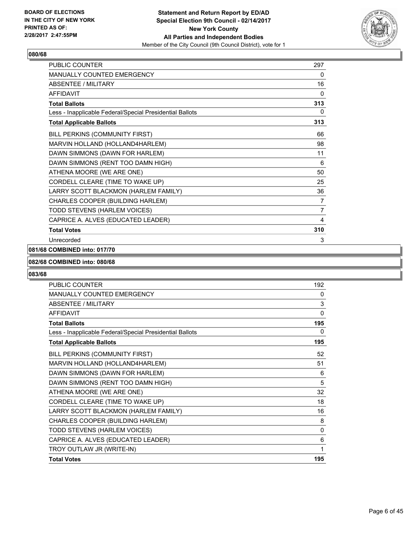

| <b>PUBLIC COUNTER</b>                                    | 297          |
|----------------------------------------------------------|--------------|
| <b>MANUALLY COUNTED EMERGENCY</b>                        | 0            |
| <b>ABSENTEE / MILITARY</b>                               | 16           |
| <b>AFFIDAVIT</b>                                         | 0            |
| <b>Total Ballots</b>                                     | 313          |
| Less - Inapplicable Federal/Special Presidential Ballots | $\mathbf{0}$ |
| <b>Total Applicable Ballots</b>                          | 313          |
| BILL PERKINS (COMMUNITY FIRST)                           | 66           |
| MARVIN HOLLAND (HOLLAND4HARLEM)                          | 98           |
| DAWN SIMMONS (DAWN FOR HARLEM)                           | 11           |
| DAWN SIMMONS (RENT TOO DAMN HIGH)                        | 6            |
| ATHENA MOORE (WE ARE ONE)                                | 50           |
| CORDELL CLEARE (TIME TO WAKE UP)                         | 25           |
| LARRY SCOTT BLACKMON (HARLEM FAMILY)                     | 36           |
| CHARLES COOPER (BUILDING HARLEM)                         | 7            |
| TODD STEVENS (HARLEM VOICES)                             | 7            |
| CAPRICE A. ALVES (EDUCATED LEADER)                       | 4            |
| <b>Total Votes</b>                                       | 310          |
| Unrecorded                                               | 3            |

# **081/68 COMBINED into: 017/70**

## **082/68 COMBINED into: 080/68**

| <b>PUBLIC COUNTER</b>                                    | 192      |
|----------------------------------------------------------|----------|
| <b>MANUALLY COUNTED EMERGENCY</b>                        | 0        |
| <b>ABSENTEE / MILITARY</b>                               | 3        |
| <b>AFFIDAVIT</b>                                         | $\Omega$ |
| <b>Total Ballots</b>                                     | 195      |
| Less - Inapplicable Federal/Special Presidential Ballots | 0        |
| <b>Total Applicable Ballots</b>                          | 195      |
| BILL PERKINS (COMMUNITY FIRST)                           | 52       |
| MARVIN HOLLAND (HOLLAND4HARLEM)                          | 51       |
| DAWN SIMMONS (DAWN FOR HARLEM)                           | 6        |
| DAWN SIMMONS (RENT TOO DAMN HIGH)                        | 5        |
| ATHENA MOORE (WE ARE ONE)                                | 32       |
| CORDELL CLEARE (TIME TO WAKE UP)                         | 18       |
| LARRY SCOTT BLACKMON (HARLEM FAMILY)                     | 16       |
| CHARLES COOPER (BUILDING HARLEM)                         | 8        |
| TODD STEVENS (HARLEM VOICES)                             | 0        |
| CAPRICE A. ALVES (EDUCATED LEADER)                       | 6        |
| TROY OUTLAW JR (WRITE-IN)                                | 1        |
| <b>Total Votes</b>                                       | 195      |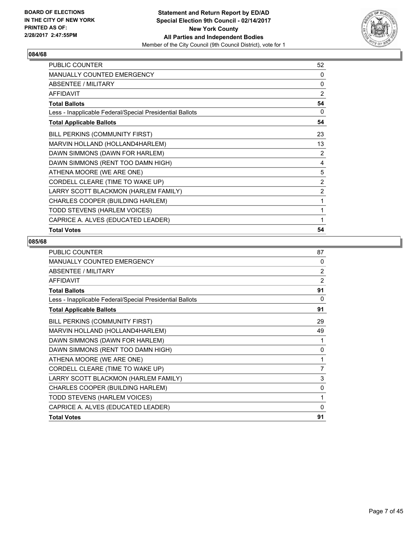

| PUBLIC COUNTER                                           | 52             |
|----------------------------------------------------------|----------------|
| <b>MANUALLY COUNTED EMERGENCY</b>                        | 0              |
| ABSENTEE / MILITARY                                      | 0              |
| <b>AFFIDAVIT</b>                                         | $\overline{2}$ |
| <b>Total Ballots</b>                                     | 54             |
| Less - Inapplicable Federal/Special Presidential Ballots | 0              |
| <b>Total Applicable Ballots</b>                          | 54             |
| <b>BILL PERKINS (COMMUNITY FIRST)</b>                    | 23             |
| MARVIN HOLLAND (HOLLAND4HARLEM)                          | 13             |
| DAWN SIMMONS (DAWN FOR HARLEM)                           | $\overline{2}$ |
| DAWN SIMMONS (RENT TOO DAMN HIGH)                        | 4              |
| ATHENA MOORE (WE ARE ONE)                                | 5              |
| CORDELL CLEARE (TIME TO WAKE UP)                         | $\overline{2}$ |
| LARRY SCOTT BLACKMON (HARLEM FAMILY)                     | 2              |
| CHARLES COOPER (BUILDING HARLEM)                         | 1              |
| TODD STEVENS (HARLEM VOICES)                             | 1              |
| CAPRICE A. ALVES (EDUCATED LEADER)                       | 1              |
| <b>Total Votes</b>                                       | 54             |

| <b>PUBLIC COUNTER</b>                                    | 87             |
|----------------------------------------------------------|----------------|
| <b>MANUALLY COUNTED EMERGENCY</b>                        | $\Omega$       |
| <b>ABSENTEE / MILITARY</b>                               | 2              |
| <b>AFFIDAVIT</b>                                         | 2              |
| <b>Total Ballots</b>                                     | 91             |
| Less - Inapplicable Federal/Special Presidential Ballots | 0              |
| <b>Total Applicable Ballots</b>                          | 91             |
| BILL PERKINS (COMMUNITY FIRST)                           | 29             |
| MARVIN HOLLAND (HOLLAND4HARLEM)                          | 49             |
| DAWN SIMMONS (DAWN FOR HARLEM)                           | 1              |
| DAWN SIMMONS (RENT TOO DAMN HIGH)                        | 0              |
| ATHENA MOORE (WE ARE ONE)                                | 1              |
| CORDELL CLEARE (TIME TO WAKE UP)                         | $\overline{7}$ |
| LARRY SCOTT BLACKMON (HARLEM FAMILY)                     | 3              |
| CHARLES COOPER (BUILDING HARLEM)                         | 0              |
| TODD STEVENS (HARLEM VOICES)                             | 1              |
| CAPRICE A. ALVES (EDUCATED LEADER)                       | $\Omega$       |
| <b>Total Votes</b>                                       | 91             |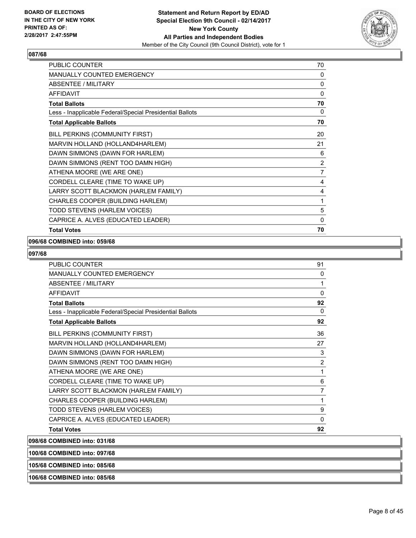

| <b>PUBLIC COUNTER</b>                                    | 70 |
|----------------------------------------------------------|----|
| MANUALLY COUNTED EMERGENCY                               | 0  |
| ABSENTEE / MILITARY                                      | 0  |
| <b>AFFIDAVIT</b>                                         | 0  |
| <b>Total Ballots</b>                                     | 70 |
| Less - Inapplicable Federal/Special Presidential Ballots | 0  |
| <b>Total Applicable Ballots</b>                          | 70 |
| BILL PERKINS (COMMUNITY FIRST)                           | 20 |
| MARVIN HOLLAND (HOLLAND4HARLEM)                          | 21 |
| DAWN SIMMONS (DAWN FOR HARLEM)                           | 6  |
| DAWN SIMMONS (RENT TOO DAMN HIGH)                        | 2  |
| ATHENA MOORE (WE ARE ONE)                                | 7  |
| CORDELL CLEARE (TIME TO WAKE UP)                         | 4  |
| LARRY SCOTT BLACKMON (HARLEM FAMILY)                     | 4  |
| CHARLES COOPER (BUILDING HARLEM)                         | 1  |
| TODD STEVENS (HARLEM VOICES)                             | 5  |
| CAPRICE A. ALVES (EDUCATED LEADER)                       | 0  |
| <b>Total Votes</b>                                       | 70 |

#### **096/68 COMBINED into: 059/68**

## **097/68**

| PUBLIC COUNTER                                           | 91             |
|----------------------------------------------------------|----------------|
| MANUALLY COUNTED EMERGENCY                               | 0              |
| ABSENTEE / MILITARY                                      | 1              |
| <b>AFFIDAVIT</b>                                         | 0              |
| <b>Total Ballots</b>                                     | 92             |
| Less - Inapplicable Federal/Special Presidential Ballots | 0              |
| <b>Total Applicable Ballots</b>                          | 92             |
| BILL PERKINS (COMMUNITY FIRST)                           | 36             |
| MARVIN HOLLAND (HOLLAND4HARLEM)                          | 27             |
| DAWN SIMMONS (DAWN FOR HARLEM)                           | 3              |
| DAWN SIMMONS (RENT TOO DAMN HIGH)                        | $\overline{2}$ |
| ATHENA MOORE (WE ARE ONE)                                | 1              |
| CORDELL CLEARE (TIME TO WAKE UP)                         | 6              |
| LARRY SCOTT BLACKMON (HARLEM FAMILY)                     | 7              |
| CHARLES COOPER (BUILDING HARLEM)                         | 1              |
| TODD STEVENS (HARLEM VOICES)                             | 9              |
| CAPRICE A. ALVES (EDUCATED LEADER)                       | 0              |
| <b>Total Votes</b>                                       | 92             |

**098/68 COMBINED into: 031/68**

**100/68 COMBINED into: 097/68**

**105/68 COMBINED into: 085/68**

**106/68 COMBINED into: 085/68**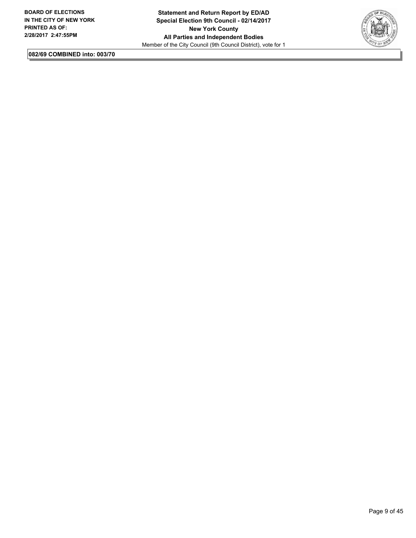

**082/69 COMBINED into: 003/70**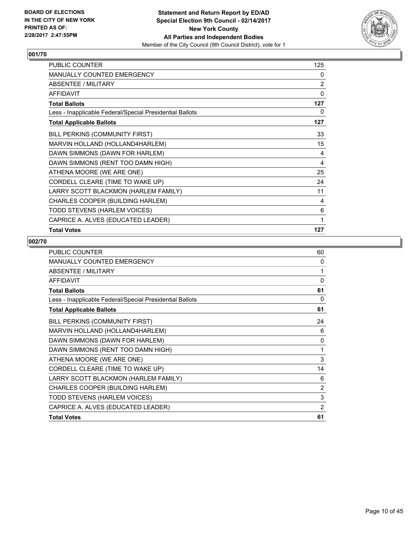

| PUBLIC COUNTER                                           | 125 |
|----------------------------------------------------------|-----|
| MANUALLY COUNTED EMERGENCY                               | 0   |
| ABSENTEE / MILITARY                                      | 2   |
| <b>AFFIDAVIT</b>                                         | 0   |
| <b>Total Ballots</b>                                     | 127 |
| Less - Inapplicable Federal/Special Presidential Ballots | 0   |
| <b>Total Applicable Ballots</b>                          | 127 |
| BILL PERKINS (COMMUNITY FIRST)                           | 33  |
| MARVIN HOLLAND (HOLLAND4HARLEM)                          | 15  |
| DAWN SIMMONS (DAWN FOR HARLEM)                           | 4   |
| DAWN SIMMONS (RENT TOO DAMN HIGH)                        | 4   |
| ATHENA MOORE (WE ARE ONE)                                | 25  |
| CORDELL CLEARE (TIME TO WAKE UP)                         | 24  |
| LARRY SCOTT BLACKMON (HARLEM FAMILY)                     | 11  |
| CHARLES COOPER (BUILDING HARLEM)                         | 4   |
| TODD STEVENS (HARLEM VOICES)                             | 6   |
| CAPRICE A. ALVES (EDUCATED LEADER)                       | 1   |
| <b>Total Votes</b>                                       | 127 |

| <b>PUBLIC COUNTER</b>                                    | 60       |
|----------------------------------------------------------|----------|
| <b>MANUALLY COUNTED EMERGENCY</b>                        | 0        |
| ABSENTEE / MILITARY                                      | 1        |
| <b>AFFIDAVIT</b>                                         | $\Omega$ |
| <b>Total Ballots</b>                                     | 61       |
| Less - Inapplicable Federal/Special Presidential Ballots | 0        |
| <b>Total Applicable Ballots</b>                          | 61       |
| BILL PERKINS (COMMUNITY FIRST)                           | 24       |
| MARVIN HOLLAND (HOLLAND4HARLEM)                          | 6        |
| DAWN SIMMONS (DAWN FOR HARLEM)                           | 0        |
| DAWN SIMMONS (RENT TOO DAMN HIGH)                        | 1        |
| ATHENA MOORE (WE ARE ONE)                                | 3        |
| CORDELL CLEARE (TIME TO WAKE UP)                         | 14       |
| LARRY SCOTT BLACKMON (HARLEM FAMILY)                     | 6        |
| CHARLES COOPER (BUILDING HARLEM)                         | 2        |
| TODD STEVENS (HARLEM VOICES)                             | 3        |
| CAPRICE A. ALVES (EDUCATED LEADER)                       | 2        |
| <b>Total Votes</b>                                       | 61       |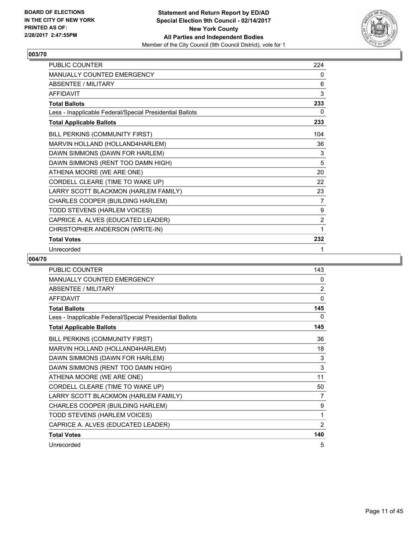

| PUBLIC COUNTER                                           | 224            |
|----------------------------------------------------------|----------------|
| <b>MANUALLY COUNTED EMERGENCY</b>                        | 0              |
| <b>ABSENTEE / MILITARY</b>                               | 6              |
| <b>AFFIDAVIT</b>                                         | 3              |
| <b>Total Ballots</b>                                     | 233            |
| Less - Inapplicable Federal/Special Presidential Ballots | 0              |
| <b>Total Applicable Ballots</b>                          | 233            |
| BILL PERKINS (COMMUNITY FIRST)                           | 104            |
| MARVIN HOLLAND (HOLLAND4HARLEM)                          | 36             |
| DAWN SIMMONS (DAWN FOR HARLEM)                           | 3              |
| DAWN SIMMONS (RENT TOO DAMN HIGH)                        | 5              |
| ATHENA MOORE (WE ARE ONE)                                | 20             |
| CORDELL CLEARE (TIME TO WAKE UP)                         | 22             |
| LARRY SCOTT BLACKMON (HARLEM FAMILY)                     | 23             |
| CHARLES COOPER (BUILDING HARLEM)                         | 7              |
| TODD STEVENS (HARLEM VOICES)                             | 9              |
| CAPRICE A. ALVES (EDUCATED LEADER)                       | $\overline{2}$ |
| CHRISTOPHER ANDERSON (WRITE-IN)                          | 1              |
| <b>Total Votes</b>                                       | 232            |
| Unrecorded                                               | 1              |

| <b>PUBLIC COUNTER</b>                                    | 143            |
|----------------------------------------------------------|----------------|
| <b>MANUALLY COUNTED EMERGENCY</b>                        | 0              |
| <b>ABSENTEE / MILITARY</b>                               | 2              |
| <b>AFFIDAVIT</b>                                         | 0              |
| <b>Total Ballots</b>                                     | 145            |
| Less - Inapplicable Federal/Special Presidential Ballots | 0              |
| <b>Total Applicable Ballots</b>                          | 145            |
| BILL PERKINS (COMMUNITY FIRST)                           | 36             |
| MARVIN HOLLAND (HOLLAND4HARLEM)                          | 18             |
| DAWN SIMMONS (DAWN FOR HARLEM)                           | 3              |
| DAWN SIMMONS (RENT TOO DAMN HIGH)                        | 3              |
| ATHENA MOORE (WE ARE ONE)                                | 11             |
| CORDELL CLEARE (TIME TO WAKE UP)                         | 50             |
| LARRY SCOTT BLACKMON (HARLEM FAMILY)                     | 7              |
| CHARLES COOPER (BUILDING HARLEM)                         | 9              |
| TODD STEVENS (HARLEM VOICES)                             | 1              |
| CAPRICE A. ALVES (EDUCATED LEADER)                       | $\overline{2}$ |
| <b>Total Votes</b>                                       | 140            |
| Unrecorded                                               | 5              |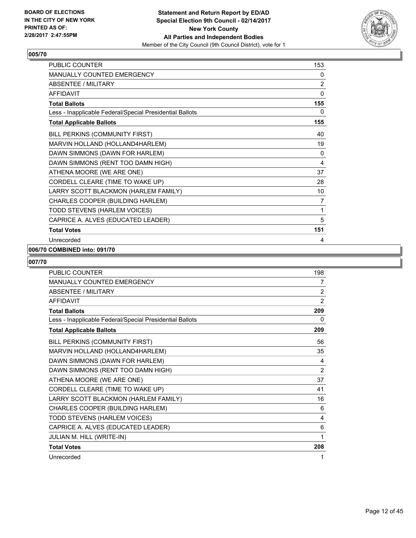

| <b>PUBLIC COUNTER</b>                                    | 153            |
|----------------------------------------------------------|----------------|
| <b>MANUALLY COUNTED EMERGENCY</b>                        | 0              |
| <b>ABSENTEE / MILITARY</b>                               | $\mathbf{2}$   |
| <b>AFFIDAVIT</b>                                         | 0              |
| <b>Total Ballots</b>                                     | 155            |
| Less - Inapplicable Federal/Special Presidential Ballots | $\mathbf{0}$   |
| <b>Total Applicable Ballots</b>                          | 155            |
| BILL PERKINS (COMMUNITY FIRST)                           | 40             |
| MARVIN HOLLAND (HOLLAND4HARLEM)                          | 19             |
| DAWN SIMMONS (DAWN FOR HARLEM)                           | 0              |
| DAWN SIMMONS (RENT TOO DAMN HIGH)                        | 4              |
| ATHENA MOORE (WE ARE ONE)                                | 37             |
| CORDELL CLEARE (TIME TO WAKE UP)                         | 28             |
| LARRY SCOTT BLACKMON (HARLEM FAMILY)                     | 10             |
| CHARLES COOPER (BUILDING HARLEM)                         | $\overline{7}$ |
| TODD STEVENS (HARLEM VOICES)                             | 1              |
| CAPRICE A. ALVES (EDUCATED LEADER)                       | 5              |
| <b>Total Votes</b>                                       | 151            |
| Unrecorded                                               | 4              |

#### **006/70 COMBINED into: 091/70**

| <b>PUBLIC COUNTER</b>                                    | 198 |
|----------------------------------------------------------|-----|
| MANUALLY COUNTED EMERGENCY                               | 7   |
| <b>ABSENTEE / MILITARY</b>                               | 2   |
| <b>AFFIDAVIT</b>                                         | 2   |
| <b>Total Ballots</b>                                     | 209 |
| Less - Inapplicable Federal/Special Presidential Ballots | 0   |
| <b>Total Applicable Ballots</b>                          | 209 |
| BILL PERKINS (COMMUNITY FIRST)                           | 56  |
| MARVIN HOLLAND (HOLLAND4HARLEM)                          | 35  |
| DAWN SIMMONS (DAWN FOR HARLEM)                           | 4   |
| DAWN SIMMONS (RENT TOO DAMN HIGH)                        | 2   |
| ATHENA MOORE (WE ARE ONE)                                | 37  |
| CORDELL CLEARE (TIME TO WAKE UP)                         | 41  |
| LARRY SCOTT BLACKMON (HARLEM FAMILY)                     | 16  |
| CHARLES COOPER (BUILDING HARLEM)                         | 6   |
| TODD STEVENS (HARLEM VOICES)                             | 4   |
| CAPRICE A. ALVES (EDUCATED LEADER)                       | 6   |
| JULIAN M. HILL (WRITE-IN)                                | 1   |
| <b>Total Votes</b>                                       | 208 |
| Unrecorded                                               | 1   |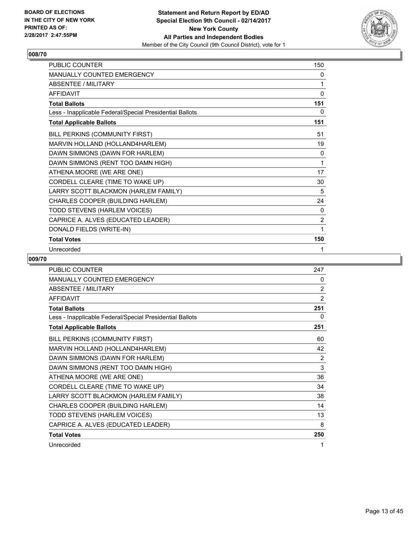

| PUBLIC COUNTER                                           | 150          |
|----------------------------------------------------------|--------------|
| MANUALLY COUNTED EMERGENCY                               | 0            |
| <b>ABSENTEE / MILITARY</b>                               | 1            |
| <b>AFFIDAVIT</b>                                         | 0            |
| <b>Total Ballots</b>                                     | 151          |
| Less - Inapplicable Federal/Special Presidential Ballots | 0            |
| <b>Total Applicable Ballots</b>                          | 151          |
| BILL PERKINS (COMMUNITY FIRST)                           | 51           |
| MARVIN HOLLAND (HOLLAND4HARLEM)                          | 19           |
| DAWN SIMMONS (DAWN FOR HARLEM)                           | 0            |
| DAWN SIMMONS (RENT TOO DAMN HIGH)                        | 1            |
| ATHENA MOORE (WE ARE ONE)                                | 17           |
| CORDELL CLEARE (TIME TO WAKE UP)                         | 30           |
| LARRY SCOTT BLACKMON (HARLEM FAMILY)                     | 5            |
| CHARLES COOPER (BUILDING HARLEM)                         | 24           |
| TODD STEVENS (HARLEM VOICES)                             | $\mathbf{0}$ |
| CAPRICE A. ALVES (EDUCATED LEADER)                       | 2            |
| DONALD FIELDS (WRITE-IN)                                 | 1            |
| <b>Total Votes</b>                                       | 150          |
| Unrecorded                                               | 1            |

| <b>PUBLIC COUNTER</b>                                    | 247 |
|----------------------------------------------------------|-----|
| MANUALLY COUNTED EMERGENCY                               | 0   |
| <b>ABSENTEE / MILITARY</b>                               | 2   |
| <b>AFFIDAVIT</b>                                         | 2   |
| <b>Total Ballots</b>                                     | 251 |
| Less - Inapplicable Federal/Special Presidential Ballots | 0   |
| <b>Total Applicable Ballots</b>                          | 251 |
| BILL PERKINS (COMMUNITY FIRST)                           | 60  |
| MARVIN HOLLAND (HOLLAND4HARLEM)                          | 42  |
| DAWN SIMMONS (DAWN FOR HARLEM)                           | 2   |
| DAWN SIMMONS (RENT TOO DAMN HIGH)                        | 3   |
| ATHENA MOORE (WE ARE ONE)                                | 36  |
| CORDELL CLEARE (TIME TO WAKE UP)                         | 34  |
| LARRY SCOTT BLACKMON (HARLEM FAMILY)                     | 38  |
| CHARLES COOPER (BUILDING HARLEM)                         | 14  |
| TODD STEVENS (HARLEM VOICES)                             | 13  |
| CAPRICE A. ALVES (EDUCATED LEADER)                       | 8   |
| <b>Total Votes</b>                                       | 250 |
| Unrecorded                                               | 1   |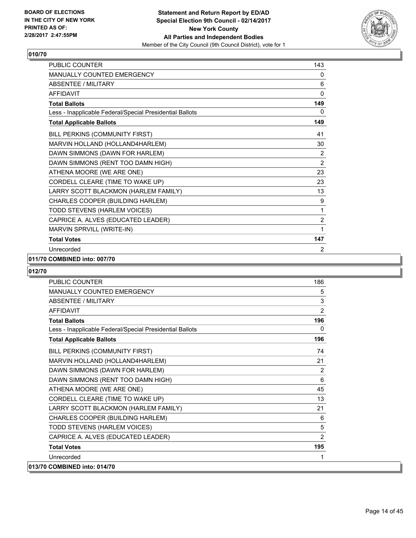

| <b>PUBLIC COUNTER</b>                                    | 143            |
|----------------------------------------------------------|----------------|
| <b>MANUALLY COUNTED EMERGENCY</b>                        | 0              |
| <b>ABSENTEE / MILITARY</b>                               | 6              |
| <b>AFFIDAVIT</b>                                         | 0              |
| <b>Total Ballots</b>                                     | 149            |
| Less - Inapplicable Federal/Special Presidential Ballots | 0              |
| <b>Total Applicable Ballots</b>                          | 149            |
| BILL PERKINS (COMMUNITY FIRST)                           | 41             |
| MARVIN HOLLAND (HOLLAND4HARLEM)                          | 30             |
| DAWN SIMMONS (DAWN FOR HARLEM)                           | 2              |
| DAWN SIMMONS (RENT TOO DAMN HIGH)                        | $\overline{2}$ |
| ATHENA MOORE (WE ARE ONE)                                | 23             |
| CORDELL CLEARE (TIME TO WAKE UP)                         | 23             |
| LARRY SCOTT BLACKMON (HARLEM FAMILY)                     | 13             |
| CHARLES COOPER (BUILDING HARLEM)                         | 9              |
| TODD STEVENS (HARLEM VOICES)                             | 1              |
| CAPRICE A. ALVES (EDUCATED LEADER)                       | $\mathbf{2}$   |
| MARVIN SPRVILL (WRITE-IN)                                | 1              |
| <b>Total Votes</b>                                       | 147            |
| Unrecorded                                               | 2              |

#### **011/70 COMBINED into: 007/70**

| <b>PUBLIC COUNTER</b>                                    | 186            |
|----------------------------------------------------------|----------------|
| MANUALLY COUNTED EMERGENCY                               | 5              |
| ABSENTEE / MILITARY                                      | 3              |
| <b>AFFIDAVIT</b>                                         | 2              |
| <b>Total Ballots</b>                                     | 196            |
| Less - Inapplicable Federal/Special Presidential Ballots | 0              |
| <b>Total Applicable Ballots</b>                          | 196            |
| BILL PERKINS (COMMUNITY FIRST)                           | 74             |
| MARVIN HOLLAND (HOLLAND4HARLEM)                          | 21             |
| DAWN SIMMONS (DAWN FOR HARLEM)                           | 2              |
| DAWN SIMMONS (RENT TOO DAMN HIGH)                        | 6              |
| ATHENA MOORE (WE ARE ONE)                                | 45             |
| CORDELL CLEARE (TIME TO WAKE UP)                         | 13             |
| LARRY SCOTT BLACKMON (HARLEM FAMILY)                     | 21             |
| CHARLES COOPER (BUILDING HARLEM)                         | 6              |
| TODD STEVENS (HARLEM VOICES)                             | 5              |
| CAPRICE A. ALVES (EDUCATED LEADER)                       | $\overline{2}$ |
| <b>Total Votes</b>                                       | 195            |
| Unrecorded                                               | 1              |
| 013/70 COMBINED into: 014/70                             |                |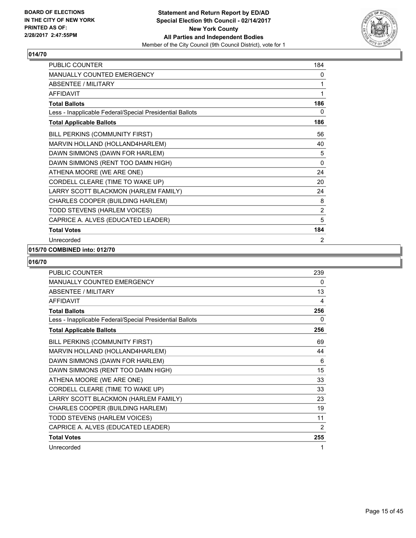

| PUBLIC COUNTER                                           | 184            |
|----------------------------------------------------------|----------------|
| MANUALLY COUNTED EMERGENCY                               | 0              |
| <b>ABSENTEE / MILITARY</b>                               | 1              |
| <b>AFFIDAVIT</b>                                         | 1              |
| <b>Total Ballots</b>                                     | 186            |
| Less - Inapplicable Federal/Special Presidential Ballots | 0              |
| <b>Total Applicable Ballots</b>                          | 186            |
| BILL PERKINS (COMMUNITY FIRST)                           | 56             |
| MARVIN HOLLAND (HOLLAND4HARLEM)                          | 40             |
| DAWN SIMMONS (DAWN FOR HARLEM)                           | 5              |
| DAWN SIMMONS (RENT TOO DAMN HIGH)                        | 0              |
| ATHENA MOORE (WE ARE ONE)                                | 24             |
| CORDELL CLEARE (TIME TO WAKE UP)                         | 20             |
| LARRY SCOTT BLACKMON (HARLEM FAMILY)                     | 24             |
| CHARLES COOPER (BUILDING HARLEM)                         | 8              |
| TODD STEVENS (HARLEM VOICES)                             | $\overline{2}$ |
| CAPRICE A. ALVES (EDUCATED LEADER)                       | 5              |
| <b>Total Votes</b>                                       | 184            |
| Unrecorded                                               | $\overline{2}$ |

#### **015/70 COMBINED into: 012/70**

| <b>PUBLIC COUNTER</b>                                    | 239 |
|----------------------------------------------------------|-----|
| <b>MANUALLY COUNTED EMERGENCY</b>                        | 0   |
| ABSENTEE / MILITARY                                      | 13  |
| <b>AFFIDAVIT</b>                                         | 4   |
| <b>Total Ballots</b>                                     | 256 |
| Less - Inapplicable Federal/Special Presidential Ballots | 0   |
| <b>Total Applicable Ballots</b>                          | 256 |
| BILL PERKINS (COMMUNITY FIRST)                           | 69  |
| MARVIN HOLLAND (HOLLAND4HARLEM)                          | 44  |
| DAWN SIMMONS (DAWN FOR HARLEM)                           | 6   |
| DAWN SIMMONS (RENT TOO DAMN HIGH)                        | 15  |
| ATHENA MOORE (WE ARE ONE)                                | 33  |
| CORDELL CLEARE (TIME TO WAKE UP)                         | 33  |
| LARRY SCOTT BLACKMON (HARLEM FAMILY)                     | 23  |
| CHARLES COOPER (BUILDING HARLEM)                         | 19  |
| TODD STEVENS (HARLEM VOICES)                             | 11  |
| CAPRICE A. ALVES (EDUCATED LEADER)                       | 2   |
| <b>Total Votes</b>                                       | 255 |
| Unrecorded                                               | 1   |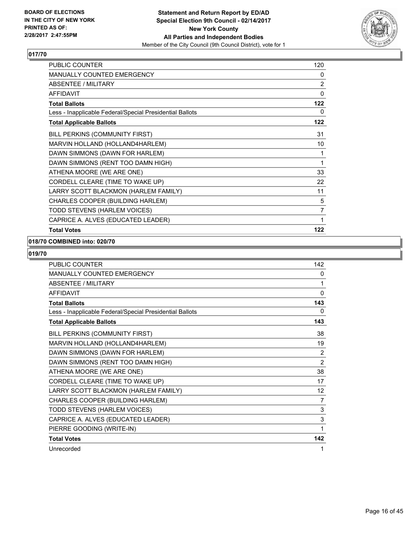

| PUBLIC COUNTER                                           | 120            |
|----------------------------------------------------------|----------------|
| MANUALLY COUNTED EMERGENCY                               | 0              |
| ABSENTEE / MILITARY                                      | 2              |
| <b>AFFIDAVIT</b>                                         | 0              |
| <b>Total Ballots</b>                                     | 122            |
| Less - Inapplicable Federal/Special Presidential Ballots | 0              |
| <b>Total Applicable Ballots</b>                          | 122            |
| BILL PERKINS (COMMUNITY FIRST)                           | 31             |
| MARVIN HOLLAND (HOLLAND4HARLEM)                          | 10             |
| DAWN SIMMONS (DAWN FOR HARLEM)                           | 1              |
| DAWN SIMMONS (RENT TOO DAMN HIGH)                        | 1              |
| ATHENA MOORE (WE ARE ONE)                                | 33             |
| CORDELL CLEARE (TIME TO WAKE UP)                         | 22             |
| LARRY SCOTT BLACKMON (HARLEM FAMILY)                     | 11             |
| CHARLES COOPER (BUILDING HARLEM)                         | 5              |
| TODD STEVENS (HARLEM VOICES)                             | $\overline{7}$ |
| CAPRICE A. ALVES (EDUCATED LEADER)                       | 1              |
| <b>Total Votes</b>                                       | 122            |

#### **018/70 COMBINED into: 020/70**

| <b>PUBLIC COUNTER</b>                                    | 142      |
|----------------------------------------------------------|----------|
| <b>MANUALLY COUNTED EMERGENCY</b>                        | 0        |
| <b>ABSENTEE / MILITARY</b>                               | 1        |
| <b>AFFIDAVIT</b>                                         | $\Omega$ |
| <b>Total Ballots</b>                                     | 143      |
| Less - Inapplicable Federal/Special Presidential Ballots | 0        |
| <b>Total Applicable Ballots</b>                          | 143      |
| BILL PERKINS (COMMUNITY FIRST)                           | 38       |
| MARVIN HOLLAND (HOLLAND4HARLEM)                          | 19       |
| DAWN SIMMONS (DAWN FOR HARLEM)                           | 2        |
| DAWN SIMMONS (RENT TOO DAMN HIGH)                        | 2        |
| ATHENA MOORE (WE ARE ONE)                                | 38       |
| CORDELL CLEARE (TIME TO WAKE UP)                         | 17       |
| LARRY SCOTT BLACKMON (HARLEM FAMILY)                     | 12       |
| CHARLES COOPER (BUILDING HARLEM)                         | 7        |
| TODD STEVENS (HARLEM VOICES)                             | 3        |
| CAPRICE A. ALVES (EDUCATED LEADER)                       | 3        |
| PIERRE GOODING (WRITE-IN)                                | 1        |
| <b>Total Votes</b>                                       | 142      |
| Unrecorded                                               | 1        |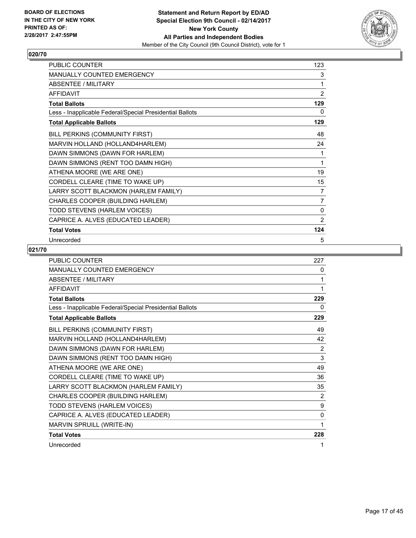

| PUBLIC COUNTER                                           | 123            |
|----------------------------------------------------------|----------------|
| MANUALLY COUNTED EMERGENCY                               | 3              |
| <b>ABSENTEE / MILITARY</b>                               | 1              |
| <b>AFFIDAVIT</b>                                         | $\overline{2}$ |
| <b>Total Ballots</b>                                     | 129            |
| Less - Inapplicable Federal/Special Presidential Ballots | 0              |
| <b>Total Applicable Ballots</b>                          | 129            |
| BILL PERKINS (COMMUNITY FIRST)                           | 48             |
| MARVIN HOLLAND (HOLLAND4HARLEM)                          | 24             |
| DAWN SIMMONS (DAWN FOR HARLEM)                           | 1              |
| DAWN SIMMONS (RENT TOO DAMN HIGH)                        | 1              |
| ATHENA MOORE (WE ARE ONE)                                | 19             |
| CORDELL CLEARE (TIME TO WAKE UP)                         | 15             |
| LARRY SCOTT BLACKMON (HARLEM FAMILY)                     | 7              |
| CHARLES COOPER (BUILDING HARLEM)                         | 7              |
| TODD STEVENS (HARLEM VOICES)                             | 0              |
| CAPRICE A. ALVES (EDUCATED LEADER)                       | $\overline{2}$ |
| <b>Total Votes</b>                                       | 124            |
| Unrecorded                                               | 5              |

| <b>PUBLIC COUNTER</b>                                    | 227            |
|----------------------------------------------------------|----------------|
| <b>MANUALLY COUNTED EMERGENCY</b>                        | 0              |
| <b>ABSENTEE / MILITARY</b>                               | 1              |
| <b>AFFIDAVIT</b>                                         | 1              |
| <b>Total Ballots</b>                                     | 229            |
| Less - Inapplicable Federal/Special Presidential Ballots | 0              |
| <b>Total Applicable Ballots</b>                          | 229            |
| BILL PERKINS (COMMUNITY FIRST)                           | 49             |
| MARVIN HOLLAND (HOLLAND4HARLEM)                          | 42             |
| DAWN SIMMONS (DAWN FOR HARLEM)                           | 2              |
| DAWN SIMMONS (RENT TOO DAMN HIGH)                        | 3              |
| ATHENA MOORE (WE ARE ONE)                                | 49             |
| CORDELL CLEARE (TIME TO WAKE UP)                         | 36             |
| LARRY SCOTT BLACKMON (HARLEM FAMILY)                     | 35             |
| CHARLES COOPER (BUILDING HARLEM)                         | $\overline{2}$ |
| TODD STEVENS (HARLEM VOICES)                             | 9              |
| CAPRICE A. ALVES (EDUCATED LEADER)                       | $\mathbf{0}$   |
| MARVIN SPRUILL (WRITE-IN)                                | 1              |
| <b>Total Votes</b>                                       | 228            |
| Unrecorded                                               | 1              |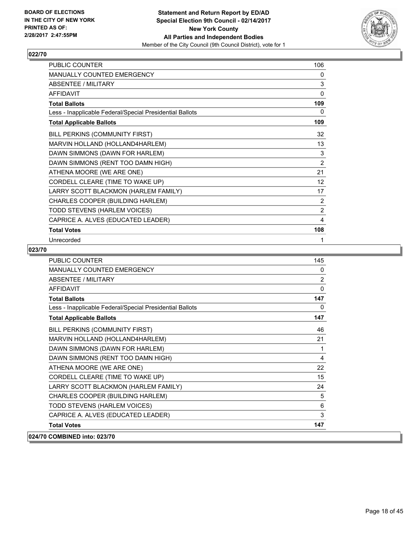

| PUBLIC COUNTER                                           | 106               |
|----------------------------------------------------------|-------------------|
| MANUALLY COUNTED EMERGENCY                               | 0                 |
| <b>ABSENTEE / MILITARY</b>                               | $\mathsf 3$       |
| <b>AFFIDAVIT</b>                                         | $\mathbf 0$       |
| <b>Total Ballots</b>                                     | 109               |
| Less - Inapplicable Federal/Special Presidential Ballots | 0                 |
| <b>Total Applicable Ballots</b>                          | 109               |
| BILL PERKINS (COMMUNITY FIRST)                           | 32                |
| MARVIN HOLLAND (HOLLAND4HARLEM)                          | 13                |
| DAWN SIMMONS (DAWN FOR HARLEM)                           | 3                 |
| DAWN SIMMONS (RENT TOO DAMN HIGH)                        | $\overline{2}$    |
| ATHENA MOORE (WE ARE ONE)                                | 21                |
| CORDELL CLEARE (TIME TO WAKE UP)                         | $12 \overline{ }$ |
| LARRY SCOTT BLACKMON (HARLEM FAMILY)                     | 17                |
| CHARLES COOPER (BUILDING HARLEM)                         | 2                 |
| TODD STEVENS (HARLEM VOICES)                             | $\overline{2}$    |
| CAPRICE A. ALVES (EDUCATED LEADER)                       | 4                 |
| <b>Total Votes</b>                                       | 108               |
| Unrecorded                                               | 1                 |

| <b>PUBLIC COUNTER</b>                                    | 145            |
|----------------------------------------------------------|----------------|
| <b>MANUALLY COUNTED EMERGENCY</b>                        | 0              |
| <b>ABSENTEE / MILITARY</b>                               | $\overline{2}$ |
| <b>AFFIDAVIT</b>                                         | $\mathbf{0}$   |
| <b>Total Ballots</b>                                     | 147            |
| Less - Inapplicable Federal/Special Presidential Ballots | $\mathbf{0}$   |
| <b>Total Applicable Ballots</b>                          | 147            |
| BILL PERKINS (COMMUNITY FIRST)                           | 46             |
| MARVIN HOLLAND (HOLLAND4HARLEM)                          | 21             |
| DAWN SIMMONS (DAWN FOR HARLEM)                           | 1              |
| DAWN SIMMONS (RENT TOO DAMN HIGH)                        | 4              |
| ATHENA MOORE (WE ARE ONE)                                | 22             |
| CORDELL CLEARE (TIME TO WAKE UP)                         | 15             |
| LARRY SCOTT BLACKMON (HARLEM FAMILY)                     | 24             |
| CHARLES COOPER (BUILDING HARLEM)                         | 5              |
| TODD STEVENS (HARLEM VOICES)                             | 6              |
| CAPRICE A. ALVES (EDUCATED LEADER)                       | 3              |
| <b>Total Votes</b>                                       | 147            |
| 024/70 COMBINED into: 023/70                             |                |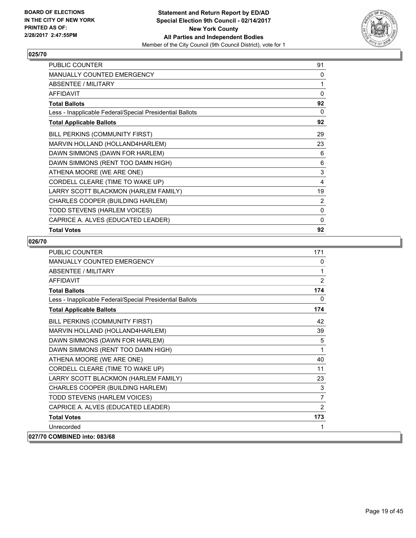

| PUBLIC COUNTER                                           | 91           |
|----------------------------------------------------------|--------------|
| <b>MANUALLY COUNTED EMERGENCY</b>                        | 0            |
| ABSENTEE / MILITARY                                      | 1            |
| <b>AFFIDAVIT</b>                                         | 0            |
| <b>Total Ballots</b>                                     | 92           |
| Less - Inapplicable Federal/Special Presidential Ballots | 0            |
| <b>Total Applicable Ballots</b>                          | 92           |
| BILL PERKINS (COMMUNITY FIRST)                           | 29           |
| MARVIN HOLLAND (HOLLAND4HARLEM)                          | 23           |
| DAWN SIMMONS (DAWN FOR HARLEM)                           | 6            |
| DAWN SIMMONS (RENT TOO DAMN HIGH)                        | 6            |
| ATHENA MOORE (WE ARE ONE)                                | 3            |
| CORDELL CLEARE (TIME TO WAKE UP)                         | 4            |
| LARRY SCOTT BLACKMON (HARLEM FAMILY)                     | 19           |
| CHARLES COOPER (BUILDING HARLEM)                         | 2            |
| TODD STEVENS (HARLEM VOICES)                             | $\mathbf{0}$ |
| CAPRICE A. ALVES (EDUCATED LEADER)                       | 0            |
| <b>Total Votes</b>                                       | 92           |

| <b>PUBLIC COUNTER</b>                                    | 171            |
|----------------------------------------------------------|----------------|
| MANUALLY COUNTED EMERGENCY                               | 0              |
| <b>ABSENTEE / MILITARY</b>                               | 1              |
| <b>AFFIDAVIT</b>                                         | 2              |
| <b>Total Ballots</b>                                     | 174            |
| Less - Inapplicable Federal/Special Presidential Ballots | $\mathbf{0}$   |
| <b>Total Applicable Ballots</b>                          | 174            |
| BILL PERKINS (COMMUNITY FIRST)                           | 42             |
| MARVIN HOLLAND (HOLLAND4HARLEM)                          | 39             |
| DAWN SIMMONS (DAWN FOR HARLEM)                           | 5              |
| DAWN SIMMONS (RENT TOO DAMN HIGH)                        | 1              |
| ATHENA MOORE (WE ARE ONE)                                | 40             |
| CORDELL CLEARE (TIME TO WAKE UP)                         | 11             |
| LARRY SCOTT BLACKMON (HARLEM FAMILY)                     | 23             |
| CHARLES COOPER (BUILDING HARLEM)                         | 3              |
| TODD STEVENS (HARLEM VOICES)                             | $\overline{7}$ |
| CAPRICE A. ALVES (EDUCATED LEADER)                       | 2              |
| <b>Total Votes</b>                                       | 173            |
| Unrecorded                                               | 1              |
| 027/70 COMBINED into: 083/68                             |                |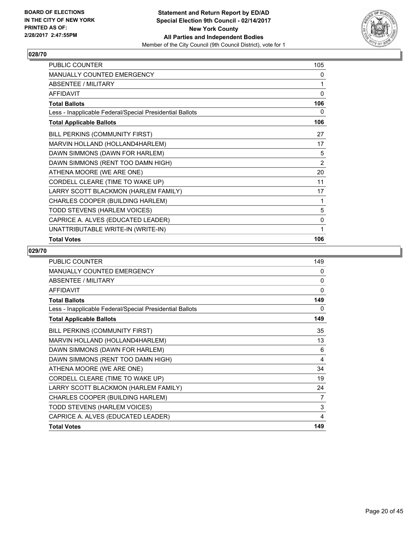

| PUBLIC COUNTER                                           | 105            |
|----------------------------------------------------------|----------------|
| <b>MANUALLY COUNTED EMERGENCY</b>                        | 0              |
| ABSENTEE / MILITARY                                      | 1              |
| <b>AFFIDAVIT</b>                                         | $\mathbf{0}$   |
| <b>Total Ballots</b>                                     | 106            |
| Less - Inapplicable Federal/Special Presidential Ballots | 0              |
| <b>Total Applicable Ballots</b>                          | 106            |
| BILL PERKINS (COMMUNITY FIRST)                           | 27             |
| MARVIN HOLLAND (HOLLAND4HARLEM)                          | 17             |
| DAWN SIMMONS (DAWN FOR HARLEM)                           | 5              |
| DAWN SIMMONS (RENT TOO DAMN HIGH)                        | $\overline{2}$ |
| ATHENA MOORE (WE ARE ONE)                                | 20             |
| CORDELL CLEARE (TIME TO WAKE UP)                         | 11             |
| LARRY SCOTT BLACKMON (HARLEM FAMILY)                     | 17             |
| CHARLES COOPER (BUILDING HARLEM)                         | 1              |
| TODD STEVENS (HARLEM VOICES)                             | 5              |
| CAPRICE A. ALVES (EDUCATED LEADER)                       | 0              |
| UNATTRIBUTABLE WRITE-IN (WRITE-IN)                       | 1              |
| <b>Total Votes</b>                                       | 106            |

| <b>PUBLIC COUNTER</b>                                    | 149 |
|----------------------------------------------------------|-----|
| <b>MANUALLY COUNTED EMERGENCY</b>                        | 0   |
| ABSENTEE / MILITARY                                      | 0   |
| <b>AFFIDAVIT</b>                                         | 0   |
| <b>Total Ballots</b>                                     | 149 |
| Less - Inapplicable Federal/Special Presidential Ballots | 0   |
| <b>Total Applicable Ballots</b>                          | 149 |
| BILL PERKINS (COMMUNITY FIRST)                           | 35  |
| MARVIN HOLLAND (HOLLAND4HARLEM)                          | 13  |
| DAWN SIMMONS (DAWN FOR HARLEM)                           | 6   |
| DAWN SIMMONS (RENT TOO DAMN HIGH)                        | 4   |
| ATHENA MOORE (WE ARE ONE)                                | 34  |
| CORDELL CLEARE (TIME TO WAKE UP)                         | 19  |
| LARRY SCOTT BLACKMON (HARLEM FAMILY)                     | 24  |
| CHARLES COOPER (BUILDING HARLEM)                         | 7   |
| TODD STEVENS (HARLEM VOICES)                             | 3   |
| CAPRICE A. ALVES (EDUCATED LEADER)                       | 4   |
| <b>Total Votes</b>                                       | 149 |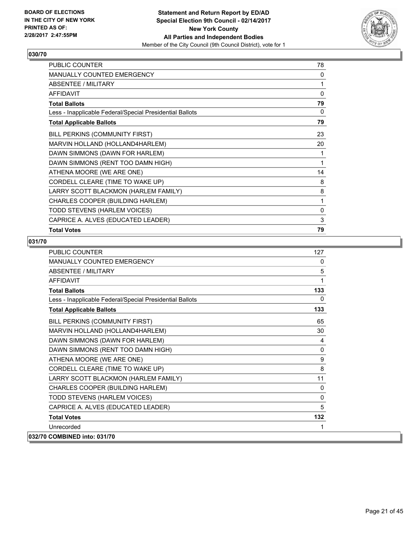

| PUBLIC COUNTER                                           | 78 |
|----------------------------------------------------------|----|
| <b>MANUALLY COUNTED EMERGENCY</b>                        | 0  |
| ABSENTEE / MILITARY                                      | 1  |
| <b>AFFIDAVIT</b>                                         | 0  |
| <b>Total Ballots</b>                                     | 79 |
| Less - Inapplicable Federal/Special Presidential Ballots | 0  |
| <b>Total Applicable Ballots</b>                          | 79 |
| BILL PERKINS (COMMUNITY FIRST)                           | 23 |
| MARVIN HOLLAND (HOLLAND4HARLEM)                          | 20 |
| DAWN SIMMONS (DAWN FOR HARLEM)                           | 1  |
| DAWN SIMMONS (RENT TOO DAMN HIGH)                        | 1  |
| ATHENA MOORE (WE ARE ONE)                                | 14 |
| CORDELL CLEARE (TIME TO WAKE UP)                         | 8  |
| LARRY SCOTT BLACKMON (HARLEM FAMILY)                     | 8  |
| CHARLES COOPER (BUILDING HARLEM)                         | 1  |
| TODD STEVENS (HARLEM VOICES)                             | 0  |
| CAPRICE A. ALVES (EDUCATED LEADER)                       | 3  |
| <b>Total Votes</b>                                       | 79 |

| <b>PUBLIC COUNTER</b>                                    | 127          |
|----------------------------------------------------------|--------------|
| <b>MANUALLY COUNTED EMERGENCY</b>                        | 0            |
| <b>ABSENTEE / MILITARY</b>                               | 5            |
| <b>AFFIDAVIT</b>                                         | 1            |
| <b>Total Ballots</b>                                     | 133          |
| Less - Inapplicable Federal/Special Presidential Ballots | $\Omega$     |
| <b>Total Applicable Ballots</b>                          | 133          |
| BILL PERKINS (COMMUNITY FIRST)                           | 65           |
| MARVIN HOLLAND (HOLLAND4HARLEM)                          | 30           |
| DAWN SIMMONS (DAWN FOR HARLEM)                           | 4            |
| DAWN SIMMONS (RENT TOO DAMN HIGH)                        | $\mathbf{0}$ |
| ATHENA MOORE (WE ARE ONE)                                | 9            |
| CORDELL CLEARE (TIME TO WAKE UP)                         | 8            |
| LARRY SCOTT BLACKMON (HARLEM FAMILY)                     | 11           |
| CHARLES COOPER (BUILDING HARLEM)                         | $\mathbf{0}$ |
| TODD STEVENS (HARLEM VOICES)                             | $\Omega$     |
| CAPRICE A. ALVES (EDUCATED LEADER)                       | 5            |
| <b>Total Votes</b>                                       | 132          |
| Unrecorded                                               | 1            |
| 032/70 COMBINED into: 031/70                             |              |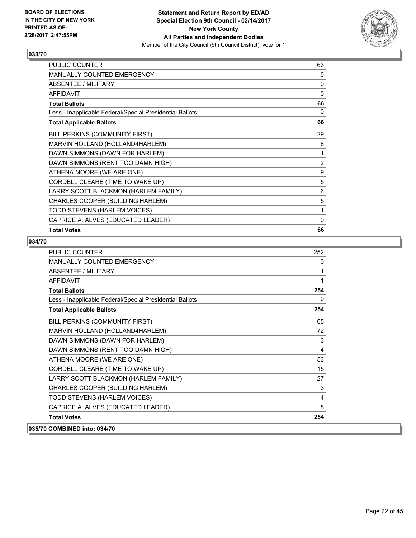

| PUBLIC COUNTER                                           | 66 |
|----------------------------------------------------------|----|
| MANUALLY COUNTED EMERGENCY                               | 0  |
| <b>ABSENTEE / MILITARY</b>                               | 0  |
| <b>AFFIDAVIT</b>                                         | 0  |
| <b>Total Ballots</b>                                     | 66 |
| Less - Inapplicable Federal/Special Presidential Ballots | 0  |
| <b>Total Applicable Ballots</b>                          | 66 |
| BILL PERKINS (COMMUNITY FIRST)                           | 29 |
| MARVIN HOLLAND (HOLLAND4HARLEM)                          | 8  |
| DAWN SIMMONS (DAWN FOR HARLEM)                           | 1  |
| DAWN SIMMONS (RENT TOO DAMN HIGH)                        | 2  |
| ATHENA MOORE (WE ARE ONE)                                | 9  |
| CORDELL CLEARE (TIME TO WAKE UP)                         | 5  |
| LARRY SCOTT BLACKMON (HARLEM FAMILY)                     | 6  |
| CHARLES COOPER (BUILDING HARLEM)                         | 5  |
| TODD STEVENS (HARLEM VOICES)                             | 1  |
| CAPRICE A. ALVES (EDUCATED LEADER)                       | 0  |
| <b>Total Votes</b>                                       | 66 |

| <b>PUBLIC COUNTER</b>                                    | 252 |
|----------------------------------------------------------|-----|
| <b>MANUALLY COUNTED EMERGENCY</b>                        | 0   |
| ABSENTEE / MILITARY                                      | 1   |
| <b>AFFIDAVIT</b>                                         | 1   |
| <b>Total Ballots</b>                                     | 254 |
| Less - Inapplicable Federal/Special Presidential Ballots | 0   |
| <b>Total Applicable Ballots</b>                          | 254 |
| BILL PERKINS (COMMUNITY FIRST)                           | 65  |
| MARVIN HOLLAND (HOLLAND4HARLEM)                          | 72  |
| DAWN SIMMONS (DAWN FOR HARLEM)                           | 3   |
| DAWN SIMMONS (RENT TOO DAMN HIGH)                        | 4   |
| ATHENA MOORE (WE ARE ONE)                                | 53  |
| CORDELL CLEARE (TIME TO WAKE UP)                         | 15  |
| LARRY SCOTT BLACKMON (HARLEM FAMILY)                     | 27  |
| CHARLES COOPER (BUILDING HARLEM)                         | 3   |
| TODD STEVENS (HARLEM VOICES)                             | 4   |
| CAPRICE A. ALVES (EDUCATED LEADER)                       | 8   |
| <b>Total Votes</b>                                       | 254 |
| 035/70 COMBINED into: 034/70                             |     |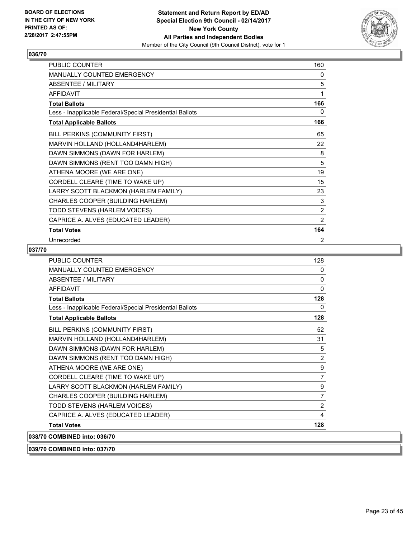

| PUBLIC COUNTER                                           | 160            |
|----------------------------------------------------------|----------------|
| MANUALLY COUNTED EMERGENCY                               | 0              |
| <b>ABSENTEE / MILITARY</b>                               | 5              |
| <b>AFFIDAVIT</b>                                         | 1              |
| <b>Total Ballots</b>                                     | 166            |
| Less - Inapplicable Federal/Special Presidential Ballots | 0              |
| <b>Total Applicable Ballots</b>                          | 166            |
| BILL PERKINS (COMMUNITY FIRST)                           | 65             |
| MARVIN HOLLAND (HOLLAND4HARLEM)                          | 22             |
| DAWN SIMMONS (DAWN FOR HARLEM)                           | 8              |
| DAWN SIMMONS (RENT TOO DAMN HIGH)                        | 5              |
| ATHENA MOORE (WE ARE ONE)                                | 19             |
| CORDELL CLEARE (TIME TO WAKE UP)                         | 15             |
| LARRY SCOTT BLACKMON (HARLEM FAMILY)                     | 23             |
| CHARLES COOPER (BUILDING HARLEM)                         | 3              |
| TODD STEVENS (HARLEM VOICES)                             | $\overline{2}$ |
| CAPRICE A. ALVES (EDUCATED LEADER)                       | $\overline{2}$ |
| <b>Total Votes</b>                                       | 164            |
| Unrecorded                                               | 2              |

#### **037/70**

| <b>PUBLIC COUNTER</b>                                    | 128            |
|----------------------------------------------------------|----------------|
| <b>MANUALLY COUNTED EMERGENCY</b>                        | 0              |
| <b>ABSENTEE / MILITARY</b>                               | $\mathbf{0}$   |
| <b>AFFIDAVIT</b>                                         | $\mathbf{0}$   |
| <b>Total Ballots</b>                                     | 128            |
| Less - Inapplicable Federal/Special Presidential Ballots | 0              |
| <b>Total Applicable Ballots</b>                          | 128            |
| BILL PERKINS (COMMUNITY FIRST)                           | 52             |
| MARVIN HOLLAND (HOLLAND4HARLEM)                          | 31             |
| DAWN SIMMONS (DAWN FOR HARLEM)                           | 5              |
| DAWN SIMMONS (RENT TOO DAMN HIGH)                        | 2              |
| ATHENA MOORE (WE ARE ONE)                                | 9              |
| CORDELL CLEARE (TIME TO WAKE UP)                         | $\overline{7}$ |
| LARRY SCOTT BLACKMON (HARLEM FAMILY)                     | 9              |
| CHARLES COOPER (BUILDING HARLEM)                         | $\overline{7}$ |
| TODD STEVENS (HARLEM VOICES)                             | 2              |
| CAPRICE A. ALVES (EDUCATED LEADER)                       | 4              |
| <b>Total Votes</b>                                       | 128            |
| 038/70 COMBINED into: 036/70                             |                |
|                                                          |                |

**039/70 COMBINED into: 037/70**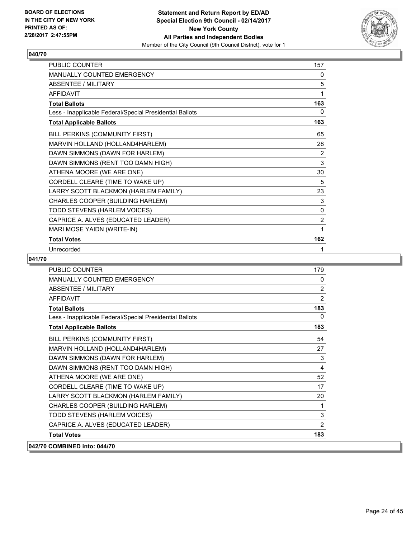

| PUBLIC COUNTER                                           | 157          |
|----------------------------------------------------------|--------------|
| MANUALLY COUNTED EMERGENCY                               | 0            |
| <b>ABSENTEE / MILITARY</b>                               | 5            |
| <b>AFFIDAVIT</b>                                         | 1            |
| <b>Total Ballots</b>                                     | 163          |
| Less - Inapplicable Federal/Special Presidential Ballots | 0            |
| <b>Total Applicable Ballots</b>                          | 163          |
| BILL PERKINS (COMMUNITY FIRST)                           | 65           |
| MARVIN HOLLAND (HOLLAND4HARLEM)                          | 28           |
| DAWN SIMMONS (DAWN FOR HARLEM)                           | 2            |
| DAWN SIMMONS (RENT TOO DAMN HIGH)                        | 3            |
| ATHENA MOORE (WE ARE ONE)                                | 30           |
| CORDELL CLEARE (TIME TO WAKE UP)                         | 5            |
| LARRY SCOTT BLACKMON (HARLEM FAMILY)                     | 23           |
| CHARLES COOPER (BUILDING HARLEM)                         | 3            |
| TODD STEVENS (HARLEM VOICES)                             | $\mathbf{0}$ |
| CAPRICE A. ALVES (EDUCATED LEADER)                       | 2            |
| MARI MOSE YAIDN (WRITE-IN)                               | 1            |
| <b>Total Votes</b>                                       | 162          |
| Unrecorded                                               | 1            |

| PUBLIC COUNTER                                           | 179            |
|----------------------------------------------------------|----------------|
| <b>MANUALLY COUNTED EMERGENCY</b>                        | 0              |
| <b>ABSENTEE / MILITARY</b>                               | 2              |
| <b>AFFIDAVIT</b>                                         | 2              |
| <b>Total Ballots</b>                                     | 183            |
| Less - Inapplicable Federal/Special Presidential Ballots | 0              |
| <b>Total Applicable Ballots</b>                          | 183            |
| BILL PERKINS (COMMUNITY FIRST)                           | 54             |
| MARVIN HOLLAND (HOLLAND4HARLEM)                          | 27             |
| DAWN SIMMONS (DAWN FOR HARLEM)                           | 3              |
| DAWN SIMMONS (RENT TOO DAMN HIGH)                        | 4              |
| ATHENA MOORE (WE ARE ONE)                                | 52             |
| CORDELL CLEARE (TIME TO WAKE UP)                         | 17             |
| LARRY SCOTT BLACKMON (HARLEM FAMILY)                     | 20             |
| CHARLES COOPER (BUILDING HARLEM)                         | 1              |
| TODD STEVENS (HARLEM VOICES)                             | 3              |
| CAPRICE A. ALVES (EDUCATED LEADER)                       | $\overline{2}$ |
| <b>Total Votes</b>                                       | 183            |
| 042/70 COMBINED into: 044/70                             |                |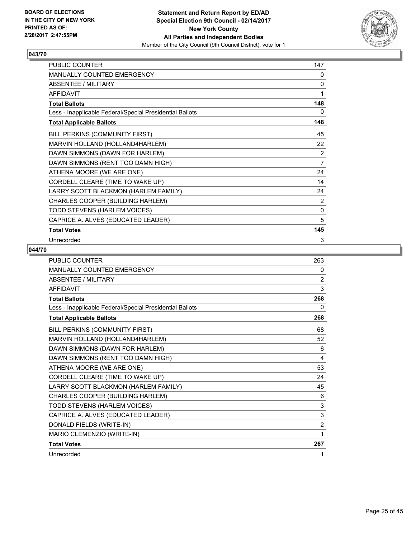

| PUBLIC COUNTER                                           | 147            |
|----------------------------------------------------------|----------------|
| MANUALLY COUNTED EMERGENCY                               | 0              |
| ABSENTEE / MILITARY                                      | 0              |
| <b>AFFIDAVIT</b>                                         | 1              |
| <b>Total Ballots</b>                                     | 148            |
| Less - Inapplicable Federal/Special Presidential Ballots | 0              |
| <b>Total Applicable Ballots</b>                          | 148            |
| BILL PERKINS (COMMUNITY FIRST)                           | 45             |
| MARVIN HOLLAND (HOLLAND4HARLEM)                          | 22             |
| DAWN SIMMONS (DAWN FOR HARLEM)                           | 2              |
| DAWN SIMMONS (RENT TOO DAMN HIGH)                        | $\overline{7}$ |
| ATHENA MOORE (WE ARE ONE)                                | 24             |
| CORDELL CLEARE (TIME TO WAKE UP)                         | 14             |
| LARRY SCOTT BLACKMON (HARLEM FAMILY)                     | 24             |
| CHARLES COOPER (BUILDING HARLEM)                         | $\overline{2}$ |
| TODD STEVENS (HARLEM VOICES)                             | 0              |
| CAPRICE A. ALVES (EDUCATED LEADER)                       | 5              |
| <b>Total Votes</b>                                       | 145            |
| Unrecorded                                               | 3              |

| <b>PUBLIC COUNTER</b>                                    | 263            |
|----------------------------------------------------------|----------------|
| MANUALLY COUNTED EMERGENCY                               | 0              |
| <b>ABSENTEE / MILITARY</b>                               | 2              |
| <b>AFFIDAVIT</b>                                         | 3              |
| <b>Total Ballots</b>                                     | 268            |
| Less - Inapplicable Federal/Special Presidential Ballots | 0              |
| <b>Total Applicable Ballots</b>                          | 268            |
| BILL PERKINS (COMMUNITY FIRST)                           | 68             |
| MARVIN HOLLAND (HOLLAND4HARLEM)                          | 52             |
| DAWN SIMMONS (DAWN FOR HARLEM)                           | 6              |
| DAWN SIMMONS (RENT TOO DAMN HIGH)                        | 4              |
| ATHENA MOORE (WE ARE ONE)                                | 53             |
| CORDELL CLEARE (TIME TO WAKE UP)                         | 24             |
| LARRY SCOTT BLACKMON (HARLEM FAMILY)                     | 45             |
| CHARLES COOPER (BUILDING HARLEM)                         | 6              |
| TODD STEVENS (HARLEM VOICES)                             | 3              |
| CAPRICE A. ALVES (EDUCATED LEADER)                       | 3              |
| DONALD FIELDS (WRITE-IN)                                 | $\overline{2}$ |
| MARIO CLEMENZIO (WRITE-IN)                               | 1              |
| <b>Total Votes</b>                                       | 267            |
| Unrecorded                                               | 1              |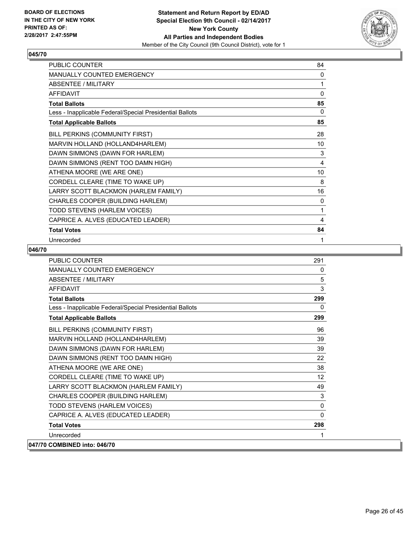

| PUBLIC COUNTER                                           | 84 |
|----------------------------------------------------------|----|
| MANUALLY COUNTED EMERGENCY                               | 0  |
| <b>ABSENTEE / MILITARY</b>                               | 1  |
| <b>AFFIDAVIT</b>                                         | 0  |
| <b>Total Ballots</b>                                     | 85 |
| Less - Inapplicable Federal/Special Presidential Ballots | 0  |
| <b>Total Applicable Ballots</b>                          | 85 |
| BILL PERKINS (COMMUNITY FIRST)                           | 28 |
| MARVIN HOLLAND (HOLLAND4HARLEM)                          | 10 |
| DAWN SIMMONS (DAWN FOR HARLEM)                           | 3  |
| DAWN SIMMONS (RENT TOO DAMN HIGH)                        | 4  |
| ATHENA MOORE (WE ARE ONE)                                | 10 |
| CORDELL CLEARE (TIME TO WAKE UP)                         | 8  |
| LARRY SCOTT BLACKMON (HARLEM FAMILY)                     | 16 |
| CHARLES COOPER (BUILDING HARLEM)                         | 0  |
| TODD STEVENS (HARLEM VOICES)                             | 1  |
| CAPRICE A. ALVES (EDUCATED LEADER)                       | 4  |
| <b>Total Votes</b>                                       | 84 |
| Unrecorded                                               | 1  |

| <b>PUBLIC COUNTER</b>                                    | 291      |
|----------------------------------------------------------|----------|
| MANUALLY COUNTED EMERGENCY                               | 0        |
| <b>ABSENTEE / MILITARY</b>                               | 5        |
| <b>AFFIDAVIT</b>                                         | 3        |
| <b>Total Ballots</b>                                     | 299      |
| Less - Inapplicable Federal/Special Presidential Ballots | 0        |
| <b>Total Applicable Ballots</b>                          | 299      |
| BILL PERKINS (COMMUNITY FIRST)                           | 96       |
| MARVIN HOLLAND (HOLLAND4HARLEM)                          | 39       |
| DAWN SIMMONS (DAWN FOR HARLEM)                           | 39       |
| DAWN SIMMONS (RENT TOO DAMN HIGH)                        | 22       |
| ATHENA MOORE (WE ARE ONE)                                | 38       |
| CORDELL CLEARE (TIME TO WAKE UP)                         | 12       |
| LARRY SCOTT BLACKMON (HARLEM FAMILY)                     | 49       |
| CHARLES COOPER (BUILDING HARLEM)                         | 3        |
| TODD STEVENS (HARLEM VOICES)                             | $\Omega$ |
| CAPRICE A. ALVES (EDUCATED LEADER)                       | $\Omega$ |
| <b>Total Votes</b>                                       | 298      |
| Unrecorded                                               | 1        |
| 047/70 COMBINED into: 046/70                             |          |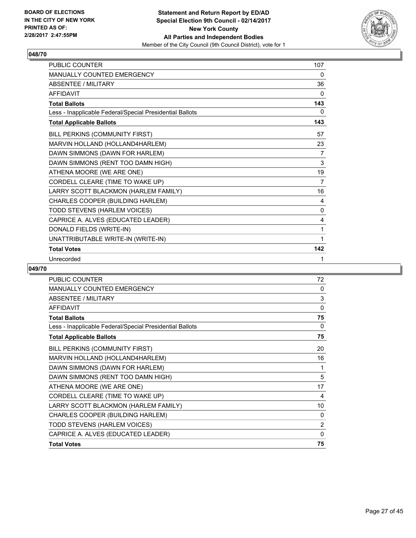

| <b>PUBLIC COUNTER</b>                                    | 107 |
|----------------------------------------------------------|-----|
| <b>MANUALLY COUNTED EMERGENCY</b>                        | 0   |
| <b>ABSENTEE / MILITARY</b>                               | 36  |
| <b>AFFIDAVIT</b>                                         | 0   |
| <b>Total Ballots</b>                                     | 143 |
| Less - Inapplicable Federal/Special Presidential Ballots | 0   |
| <b>Total Applicable Ballots</b>                          | 143 |
| BILL PERKINS (COMMUNITY FIRST)                           | 57  |
| MARVIN HOLLAND (HOLLAND4HARLEM)                          | 23  |
| DAWN SIMMONS (DAWN FOR HARLEM)                           | 7   |
| DAWN SIMMONS (RENT TOO DAMN HIGH)                        | 3   |
| ATHENA MOORE (WE ARE ONE)                                | 19  |
| CORDELL CLEARE (TIME TO WAKE UP)                         | 7   |
| LARRY SCOTT BLACKMON (HARLEM FAMILY)                     | 16  |
| CHARLES COOPER (BUILDING HARLEM)                         | 4   |
| TODD STEVENS (HARLEM VOICES)                             | 0   |
| CAPRICE A. ALVES (EDUCATED LEADER)                       | 4   |
| DONALD FIELDS (WRITE-IN)                                 | 1   |
| UNATTRIBUTABLE WRITE-IN (WRITE-IN)                       | 1   |
| <b>Total Votes</b>                                       | 142 |
| Unrecorded                                               | 1   |

| PUBLIC COUNTER                                           | 72             |
|----------------------------------------------------------|----------------|
| <b>MANUALLY COUNTED EMERGENCY</b>                        | 0              |
| ABSENTEE / MILITARY                                      | 3              |
| <b>AFFIDAVIT</b>                                         | 0              |
| <b>Total Ballots</b>                                     | 75             |
| Less - Inapplicable Federal/Special Presidential Ballots | 0              |
| <b>Total Applicable Ballots</b>                          | 75             |
| BILL PERKINS (COMMUNITY FIRST)                           | 20             |
| MARVIN HOLLAND (HOLLAND4HARLEM)                          | 16             |
| DAWN SIMMONS (DAWN FOR HARLEM)                           | 1              |
| DAWN SIMMONS (RENT TOO DAMN HIGH)                        | 5              |
| ATHENA MOORE (WE ARE ONE)                                | 17             |
| CORDELL CLEARE (TIME TO WAKE UP)                         | 4              |
| LARRY SCOTT BLACKMON (HARLEM FAMILY)                     | 10             |
| CHARLES COOPER (BUILDING HARLEM)                         | 0              |
| TODD STEVENS (HARLEM VOICES)                             | $\overline{2}$ |
| CAPRICE A. ALVES (EDUCATED LEADER)                       | 0              |
| <b>Total Votes</b>                                       | 75             |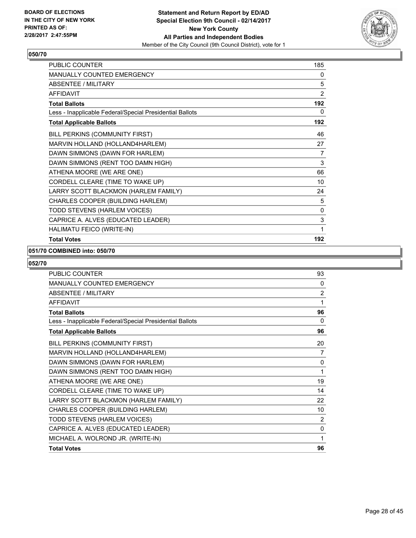

| PUBLIC COUNTER                                           | 185 |
|----------------------------------------------------------|-----|
| MANUALLY COUNTED EMERGENCY                               | 0   |
| <b>ABSENTEE / MILITARY</b>                               | 5   |
| <b>AFFIDAVIT</b>                                         | 2   |
| <b>Total Ballots</b>                                     | 192 |
| Less - Inapplicable Federal/Special Presidential Ballots | 0   |
| <b>Total Applicable Ballots</b>                          | 192 |
| BILL PERKINS (COMMUNITY FIRST)                           | 46  |
| MARVIN HOLLAND (HOLLAND4HARLEM)                          | 27  |
| DAWN SIMMONS (DAWN FOR HARLEM)                           | 7   |
| DAWN SIMMONS (RENT TOO DAMN HIGH)                        | 3   |
| ATHENA MOORE (WE ARE ONE)                                | 66  |
| CORDELL CLEARE (TIME TO WAKE UP)                         | 10  |
| LARRY SCOTT BLACKMON (HARLEM FAMILY)                     | 24  |
| CHARLES COOPER (BUILDING HARLEM)                         | 5   |
| TODD STEVENS (HARLEM VOICES)                             | 0   |
| CAPRICE A. ALVES (EDUCATED LEADER)                       | 3   |
| HALIMATU FEICO (WRITE-IN)                                | 1   |
| <b>Total Votes</b>                                       | 192 |

#### **051/70 COMBINED into: 050/70**

| <b>PUBLIC COUNTER</b>                                    | 93             |
|----------------------------------------------------------|----------------|
| <b>MANUALLY COUNTED EMERGENCY</b>                        | 0              |
| <b>ABSENTEE / MILITARY</b>                               | 2              |
| <b>AFFIDAVIT</b>                                         | 1              |
| <b>Total Ballots</b>                                     | 96             |
| Less - Inapplicable Federal/Special Presidential Ballots | $\mathbf{0}$   |
| <b>Total Applicable Ballots</b>                          | 96             |
| BILL PERKINS (COMMUNITY FIRST)                           | 20             |
| MARVIN HOLLAND (HOLLAND4HARLEM)                          | 7              |
| DAWN SIMMONS (DAWN FOR HARLEM)                           | 0              |
| DAWN SIMMONS (RENT TOO DAMN HIGH)                        | 1              |
| ATHENA MOORE (WE ARE ONE)                                | 19             |
| CORDELL CLEARE (TIME TO WAKE UP)                         | 14             |
| LARRY SCOTT BLACKMON (HARLEM FAMILY)                     | 22             |
| CHARLES COOPER (BUILDING HARLEM)                         | 10             |
| TODD STEVENS (HARLEM VOICES)                             | $\overline{2}$ |
| CAPRICE A. ALVES (EDUCATED LEADER)                       | 0              |
| MICHAEL A. WOLROND JR. (WRITE-IN)                        | 1              |
| <b>Total Votes</b>                                       | 96             |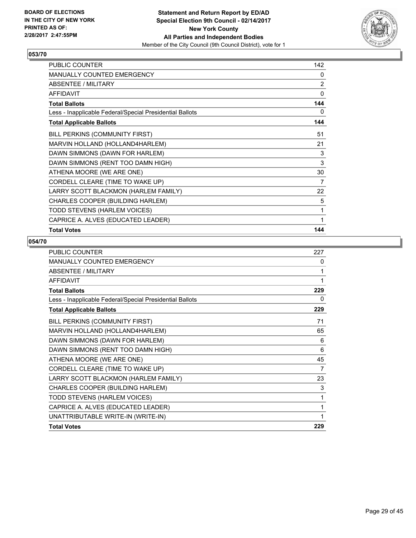

| PUBLIC COUNTER                                           | 142 |
|----------------------------------------------------------|-----|
| <b>MANUALLY COUNTED EMERGENCY</b>                        | 0   |
| ABSENTEE / MILITARY                                      | 2   |
| <b>AFFIDAVIT</b>                                         | 0   |
| <b>Total Ballots</b>                                     | 144 |
| Less - Inapplicable Federal/Special Presidential Ballots | 0   |
| <b>Total Applicable Ballots</b>                          | 144 |
| BILL PERKINS (COMMUNITY FIRST)                           | 51  |
| MARVIN HOLLAND (HOLLAND4HARLEM)                          | 21  |
| DAWN SIMMONS (DAWN FOR HARLEM)                           | 3   |
| DAWN SIMMONS (RENT TOO DAMN HIGH)                        | 3   |
| ATHENA MOORE (WE ARE ONE)                                | 30  |
| CORDELL CLEARE (TIME TO WAKE UP)                         | 7   |
| LARRY SCOTT BLACKMON (HARLEM FAMILY)                     | 22  |
| CHARLES COOPER (BUILDING HARLEM)                         | 5   |
| TODD STEVENS (HARLEM VOICES)                             | 1   |
| CAPRICE A. ALVES (EDUCATED LEADER)                       | 1   |
| <b>Total Votes</b>                                       | 144 |

| <b>PUBLIC COUNTER</b>                                    | 227 |
|----------------------------------------------------------|-----|
| <b>MANUALLY COUNTED EMERGENCY</b>                        | 0   |
| ABSENTEE / MILITARY                                      | 1   |
| <b>AFFIDAVIT</b>                                         | 1   |
| <b>Total Ballots</b>                                     | 229 |
| Less - Inapplicable Federal/Special Presidential Ballots | 0   |
| <b>Total Applicable Ballots</b>                          | 229 |
| BILL PERKINS (COMMUNITY FIRST)                           | 71  |
| MARVIN HOLLAND (HOLLAND4HARLEM)                          | 65  |
| DAWN SIMMONS (DAWN FOR HARLEM)                           | 6   |
| DAWN SIMMONS (RENT TOO DAMN HIGH)                        | 6   |
| ATHENA MOORE (WE ARE ONE)                                | 45  |
| CORDELL CLEARE (TIME TO WAKE UP)                         | 7   |
| LARRY SCOTT BLACKMON (HARLEM FAMILY)                     | 23  |
| CHARLES COOPER (BUILDING HARLEM)                         | 3   |
| TODD STEVENS (HARLEM VOICES)                             | 1   |
| CAPRICE A. ALVES (EDUCATED LEADER)                       | 1   |
| UNATTRIBUTABLE WRITE-IN (WRITE-IN)                       |     |
| <b>Total Votes</b>                                       | 229 |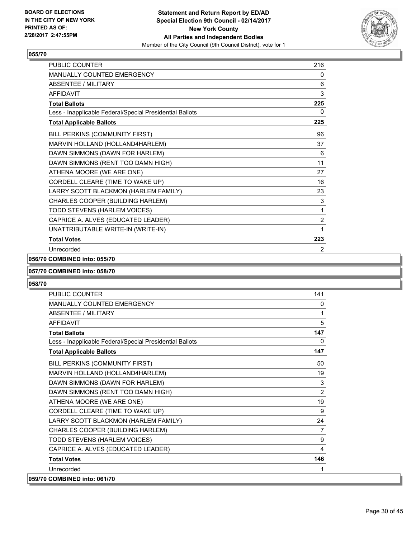

| <b>PUBLIC COUNTER</b>                                    | 216            |
|----------------------------------------------------------|----------------|
| <b>MANUALLY COUNTED EMERGENCY</b>                        | 0              |
| ABSENTEE / MILITARY                                      | 6              |
| <b>AFFIDAVIT</b>                                         | 3              |
| <b>Total Ballots</b>                                     | 225            |
| Less - Inapplicable Federal/Special Presidential Ballots | 0              |
| <b>Total Applicable Ballots</b>                          | 225            |
| BILL PERKINS (COMMUNITY FIRST)                           | 96             |
| MARVIN HOLLAND (HOLLAND4HARLEM)                          | 37             |
| DAWN SIMMONS (DAWN FOR HARLEM)                           | 6              |
| DAWN SIMMONS (RENT TOO DAMN HIGH)                        | 11             |
| ATHENA MOORE (WE ARE ONE)                                | 27             |
| CORDELL CLEARE (TIME TO WAKE UP)                         | 16             |
| LARRY SCOTT BLACKMON (HARLEM FAMILY)                     | 23             |
| CHARLES COOPER (BUILDING HARLEM)                         | 3              |
| TODD STEVENS (HARLEM VOICES)                             | 1              |
| CAPRICE A. ALVES (EDUCATED LEADER)                       | $\overline{2}$ |
| UNATTRIBUTABLE WRITE-IN (WRITE-IN)                       | 1              |
| <b>Total Votes</b>                                       | 223            |
| Unrecorded                                               | 2              |

## **056/70 COMBINED into: 055/70**

#### **057/70 COMBINED into: 058/70**

| PUBLIC COUNTER                                           | 141            |
|----------------------------------------------------------|----------------|
| MANUALLY COUNTED EMERGENCY                               | 0              |
| ABSENTEE / MILITARY                                      | 1              |
| <b>AFFIDAVIT</b>                                         | 5              |
| <b>Total Ballots</b>                                     | 147            |
| Less - Inapplicable Federal/Special Presidential Ballots | 0              |
| <b>Total Applicable Ballots</b>                          | 147            |
| BILL PERKINS (COMMUNITY FIRST)                           | 50             |
| MARVIN HOLLAND (HOLLAND4HARLEM)                          | 19             |
| DAWN SIMMONS (DAWN FOR HARLEM)                           | 3              |
| DAWN SIMMONS (RENT TOO DAMN HIGH)                        | $\overline{2}$ |
| ATHENA MOORE (WE ARE ONE)                                | 19             |
| CORDELL CLEARE (TIME TO WAKE UP)                         | 9              |
| LARRY SCOTT BLACKMON (HARLEM FAMILY)                     | 24             |
| CHARLES COOPER (BUILDING HARLEM)                         | $\overline{7}$ |
| TODD STEVENS (HARLEM VOICES)                             | 9              |
| CAPRICE A. ALVES (EDUCATED LEADER)                       | 4              |
| <b>Total Votes</b>                                       | 146            |
| Unrecorded                                               | 1              |
| 059/70 COMBINED into: 061/70                             |                |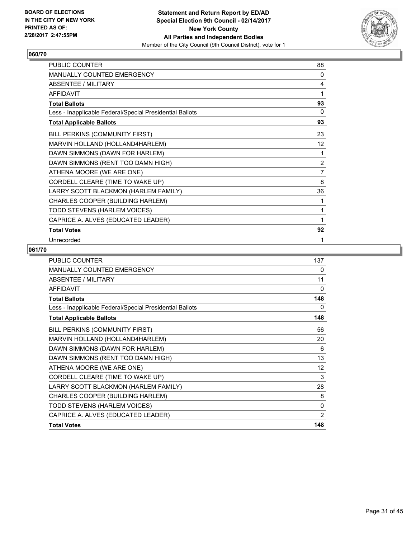

| PUBLIC COUNTER                                           | 88             |
|----------------------------------------------------------|----------------|
| MANUALLY COUNTED EMERGENCY                               | 0              |
| ABSENTEE / MILITARY                                      | 4              |
| <b>AFFIDAVIT</b>                                         | 1              |
| <b>Total Ballots</b>                                     | 93             |
| Less - Inapplicable Federal/Special Presidential Ballots | 0              |
| <b>Total Applicable Ballots</b>                          | 93             |
| BILL PERKINS (COMMUNITY FIRST)                           | 23             |
| MARVIN HOLLAND (HOLLAND4HARLEM)                          | 12             |
| DAWN SIMMONS (DAWN FOR HARLEM)                           | 1              |
| DAWN SIMMONS (RENT TOO DAMN HIGH)                        | $\overline{2}$ |
| ATHENA MOORE (WE ARE ONE)                                | $\overline{7}$ |
| CORDELL CLEARE (TIME TO WAKE UP)                         | 8              |
| LARRY SCOTT BLACKMON (HARLEM FAMILY)                     | 36             |
| CHARLES COOPER (BUILDING HARLEM)                         | 1              |
| TODD STEVENS (HARLEM VOICES)                             | 1              |
| CAPRICE A. ALVES (EDUCATED LEADER)                       | 1              |
| <b>Total Votes</b>                                       | 92             |
| Unrecorded                                               | 1              |

| <b>PUBLIC COUNTER</b>                                    | 137      |
|----------------------------------------------------------|----------|
| <b>MANUALLY COUNTED EMERGENCY</b>                        | 0        |
| <b>ABSENTEE / MILITARY</b>                               | 11       |
| <b>AFFIDAVIT</b>                                         | $\Omega$ |
| <b>Total Ballots</b>                                     | 148      |
| Less - Inapplicable Federal/Special Presidential Ballots | 0        |
| <b>Total Applicable Ballots</b>                          | 148      |
| BILL PERKINS (COMMUNITY FIRST)                           | 56       |
| MARVIN HOLLAND (HOLLAND4HARLEM)                          | 20       |
| DAWN SIMMONS (DAWN FOR HARLEM)                           | 6        |
| DAWN SIMMONS (RENT TOO DAMN HIGH)                        | 13       |
| ATHENA MOORE (WE ARE ONE)                                | 12       |
| CORDELL CLEARE (TIME TO WAKE UP)                         | 3        |
| LARRY SCOTT BLACKMON (HARLEM FAMILY)                     | 28       |
| CHARLES COOPER (BUILDING HARLEM)                         | 8        |
| TODD STEVENS (HARLEM VOICES)                             | 0        |
| CAPRICE A. ALVES (EDUCATED LEADER)                       | 2        |
| <b>Total Votes</b>                                       | 148      |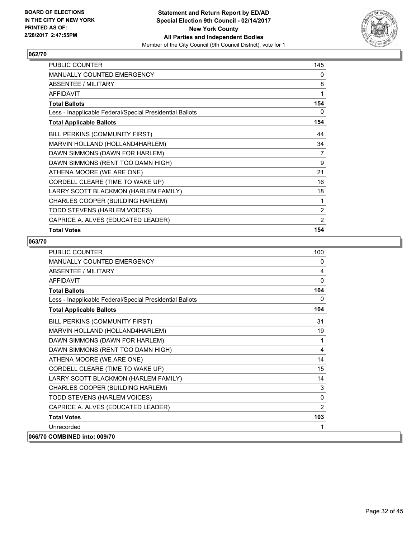

| <b>PUBLIC COUNTER</b>                                    | 145 |
|----------------------------------------------------------|-----|
| <b>MANUALLY COUNTED EMERGENCY</b>                        | 0   |
| <b>ABSENTEE / MILITARY</b>                               | 8   |
| <b>AFFIDAVIT</b>                                         | 1   |
| <b>Total Ballots</b>                                     | 154 |
| Less - Inapplicable Federal/Special Presidential Ballots | 0   |
| <b>Total Applicable Ballots</b>                          | 154 |
| BILL PERKINS (COMMUNITY FIRST)                           | 44  |
| MARVIN HOLLAND (HOLLAND4HARLEM)                          | 34  |
| DAWN SIMMONS (DAWN FOR HARLEM)                           | 7   |
| DAWN SIMMONS (RENT TOO DAMN HIGH)                        | 9   |
| ATHENA MOORE (WE ARE ONE)                                | 21  |
| CORDELL CLEARE (TIME TO WAKE UP)                         | 16  |
| LARRY SCOTT BLACKMON (HARLEM FAMILY)                     | 18  |
| <b>CHARLES COOPER (BUILDING HARLEM)</b>                  | 1   |
| TODD STEVENS (HARLEM VOICES)                             | 2   |
| CAPRICE A. ALVES (EDUCATED LEADER)                       | 2   |
| <b>Total Votes</b>                                       | 154 |

| <b>PUBLIC COUNTER</b>                                    | 100          |
|----------------------------------------------------------|--------------|
| <b>MANUALLY COUNTED EMERGENCY</b>                        | 0            |
| <b>ABSENTEE / MILITARY</b>                               | 4            |
| <b>AFFIDAVIT</b>                                         | $\mathbf{0}$ |
| <b>Total Ballots</b>                                     | 104          |
| Less - Inapplicable Federal/Special Presidential Ballots | 0            |
| <b>Total Applicable Ballots</b>                          | 104          |
| BILL PERKINS (COMMUNITY FIRST)                           | 31           |
| MARVIN HOLLAND (HOLLAND4HARLEM)                          | 19           |
| DAWN SIMMONS (DAWN FOR HARLEM)                           | 1            |
| DAWN SIMMONS (RENT TOO DAMN HIGH)                        | 4            |
| ATHENA MOORE (WE ARE ONE)                                | 14           |
| CORDELL CLEARE (TIME TO WAKE UP)                         | 15           |
| LARRY SCOTT BLACKMON (HARLEM FAMILY)                     | 14           |
| CHARLES COOPER (BUILDING HARLEM)                         | 3            |
| TODD STEVENS (HARLEM VOICES)                             | $\mathbf{0}$ |
| CAPRICE A. ALVES (EDUCATED LEADER)                       | 2            |
| <b>Total Votes</b>                                       | 103          |
| Unrecorded                                               | 1            |
| 066/70 COMBINED into: 009/70                             |              |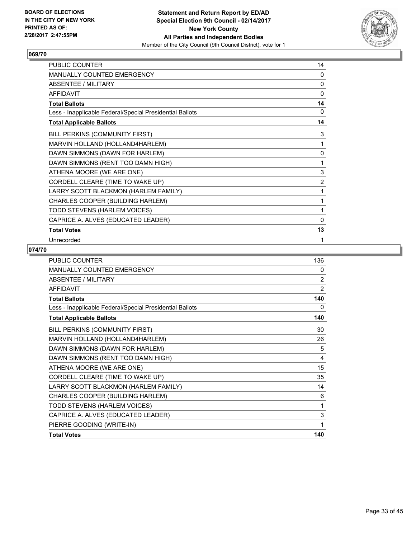

| PUBLIC COUNTER                                           | 14             |
|----------------------------------------------------------|----------------|
| MANUALLY COUNTED EMERGENCY                               | 0              |
| ABSENTEE / MILITARY                                      | 0              |
| <b>AFFIDAVIT</b>                                         | $\mathbf 0$    |
| <b>Total Ballots</b>                                     | 14             |
| Less - Inapplicable Federal/Special Presidential Ballots | 0              |
| <b>Total Applicable Ballots</b>                          | 14             |
| BILL PERKINS (COMMUNITY FIRST)                           | 3              |
| MARVIN HOLLAND (HOLLAND4HARLEM)                          | 1              |
| DAWN SIMMONS (DAWN FOR HARLEM)                           | 0              |
| DAWN SIMMONS (RENT TOO DAMN HIGH)                        | 1              |
| ATHENA MOORE (WE ARE ONE)                                | 3              |
| CORDELL CLEARE (TIME TO WAKE UP)                         | $\overline{2}$ |
| LARRY SCOTT BLACKMON (HARLEM FAMILY)                     | 1              |
| CHARLES COOPER (BUILDING HARLEM)                         | 1              |
| TODD STEVENS (HARLEM VOICES)                             | 1              |
| CAPRICE A. ALVES (EDUCATED LEADER)                       | 0              |
| <b>Total Votes</b>                                       | 13             |
| Unrecorded                                               | 1              |

| PUBLIC COUNTER                                           | 136 |
|----------------------------------------------------------|-----|
| <b>MANUALLY COUNTED EMERGENCY</b>                        | 0   |
| <b>ABSENTEE / MILITARY</b>                               | 2   |
| <b>AFFIDAVIT</b>                                         | 2   |
| <b>Total Ballots</b>                                     | 140 |
| Less - Inapplicable Federal/Special Presidential Ballots | 0   |
| <b>Total Applicable Ballots</b>                          | 140 |
| BILL PERKINS (COMMUNITY FIRST)                           | 30  |
| MARVIN HOLLAND (HOLLAND4HARLEM)                          | 26  |
| DAWN SIMMONS (DAWN FOR HARLEM)                           | 5   |
| DAWN SIMMONS (RENT TOO DAMN HIGH)                        | 4   |
| ATHENA MOORE (WE ARE ONE)                                | 15  |
| CORDELL CLEARE (TIME TO WAKE UP)                         | 35  |
| LARRY SCOTT BLACKMON (HARLEM FAMILY)                     | 14  |
| CHARLES COOPER (BUILDING HARLEM)                         | 6   |
| TODD STEVENS (HARLEM VOICES)                             | 1   |
| CAPRICE A. ALVES (EDUCATED LEADER)                       | 3   |
| PIERRE GOODING (WRITE-IN)                                | 1   |
| <b>Total Votes</b>                                       | 140 |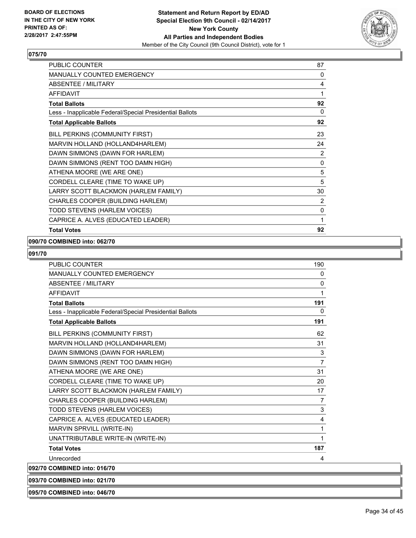

| <b>Total Votes</b>                                       | 92             |
|----------------------------------------------------------|----------------|
| CAPRICE A. ALVES (EDUCATED LEADER)                       | 1              |
| TODD STEVENS (HARLEM VOICES)                             | 0              |
| CHARLES COOPER (BUILDING HARLEM)                         | $\overline{2}$ |
| LARRY SCOTT BLACKMON (HARLEM FAMILY)                     | 30             |
| CORDELL CLEARE (TIME TO WAKE UP)                         | 5              |
| ATHENA MOORE (WE ARE ONE)                                | 5              |
| DAWN SIMMONS (RENT TOO DAMN HIGH)                        | 0              |
| DAWN SIMMONS (DAWN FOR HARLEM)                           | 2              |
| MARVIN HOLLAND (HOLLAND4HARLEM)                          | 24             |
| BILL PERKINS (COMMUNITY FIRST)                           | 23             |
| <b>Total Applicable Ballots</b>                          | 92             |
| Less - Inapplicable Federal/Special Presidential Ballots | 0              |
| <b>Total Ballots</b>                                     | 92             |
| <b>AFFIDAVIT</b>                                         | 1              |
| <b>ABSENTEE / MILITARY</b>                               | 4              |
| MANUALLY COUNTED EMERGENCY                               | 0              |
| <b>PUBLIC COUNTER</b>                                    | 87             |

#### **090/70 COMBINED into: 062/70**

# **091/70**

| <b>PUBLIC COUNTER</b>                                    | 190            |
|----------------------------------------------------------|----------------|
| <b>MANUALLY COUNTED EMERGENCY</b>                        | 0              |
| <b>ABSENTEE / MILITARY</b>                               | $\mathbf{0}$   |
| <b>AFFIDAVIT</b>                                         | 1              |
| <b>Total Ballots</b>                                     | 191            |
| Less - Inapplicable Federal/Special Presidential Ballots | 0              |
| <b>Total Applicable Ballots</b>                          | 191            |
| BILL PERKINS (COMMUNITY FIRST)                           | 62             |
| MARVIN HOLLAND (HOLLAND4HARLEM)                          | 31             |
| DAWN SIMMONS (DAWN FOR HARLEM)                           | 3              |
| DAWN SIMMONS (RENT TOO DAMN HIGH)                        | $\overline{7}$ |
| ATHENA MOORE (WE ARE ONE)                                | 31             |
| CORDELL CLEARE (TIME TO WAKE UP)                         | 20             |
| LARRY SCOTT BLACKMON (HARLEM FAMILY)                     | 17             |
| CHARLES COOPER (BUILDING HARLEM)                         | $\overline{7}$ |
| TODD STEVENS (HARLEM VOICES)                             | 3              |
| CAPRICE A. ALVES (EDUCATED LEADER)                       | 4              |
| MARVIN SPRVILL (WRITE-IN)                                | 1              |
| UNATTRIBUTABLE WRITE-IN (WRITE-IN)                       | 1              |
| <b>Total Votes</b>                                       | 187            |
| Unrecorded                                               | 4              |
| 092/70 COMBINED into: 016/70                             |                |

**093/70 COMBINED into: 021/70**

**095/70 COMBINED into: 046/70**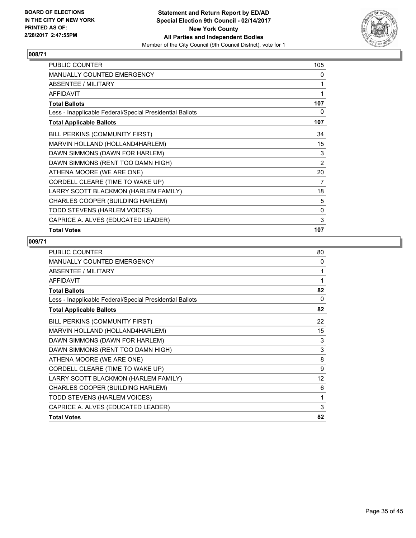

| PUBLIC COUNTER                                           | 105            |
|----------------------------------------------------------|----------------|
| MANUALLY COUNTED EMERGENCY                               | 0              |
| ABSENTEE / MILITARY                                      | 1              |
| <b>AFFIDAVIT</b>                                         | 1              |
| <b>Total Ballots</b>                                     | 107            |
| Less - Inapplicable Federal/Special Presidential Ballots | 0              |
| <b>Total Applicable Ballots</b>                          | 107            |
| BILL PERKINS (COMMUNITY FIRST)                           | 34             |
| MARVIN HOLLAND (HOLLAND4HARLEM)                          | 15             |
| DAWN SIMMONS (DAWN FOR HARLEM)                           | 3              |
| DAWN SIMMONS (RENT TOO DAMN HIGH)                        | $\overline{2}$ |
| ATHENA MOORE (WE ARE ONE)                                | 20             |
| CORDELL CLEARE (TIME TO WAKE UP)                         | 7              |
| LARRY SCOTT BLACKMON (HARLEM FAMILY)                     | 18             |
| CHARLES COOPER (BUILDING HARLEM)                         | 5              |
| TODD STEVENS (HARLEM VOICES)                             | 0              |
| CAPRICE A. ALVES (EDUCATED LEADER)                       | 3              |
| <b>Total Votes</b>                                       | 107            |

| <b>PUBLIC COUNTER</b>                                    | 80       |
|----------------------------------------------------------|----------|
| <b>MANUALLY COUNTED EMERGENCY</b>                        | 0        |
| ABSENTEE / MILITARY                                      | 1        |
| <b>AFFIDAVIT</b>                                         | 1        |
| <b>Total Ballots</b>                                     | 82       |
| Less - Inapplicable Federal/Special Presidential Ballots | $\Omega$ |
| <b>Total Applicable Ballots</b>                          | 82       |
| BILL PERKINS (COMMUNITY FIRST)                           | 22       |
| MARVIN HOLLAND (HOLLAND4HARLEM)                          | 15       |
| DAWN SIMMONS (DAWN FOR HARLEM)                           | 3        |
| DAWN SIMMONS (RENT TOO DAMN HIGH)                        | 3        |
| ATHENA MOORE (WE ARE ONE)                                | 8        |
| CORDELL CLEARE (TIME TO WAKE UP)                         | 9        |
| LARRY SCOTT BLACKMON (HARLEM FAMILY)                     | 12       |
| CHARLES COOPER (BUILDING HARLEM)                         | 6        |
| TODD STEVENS (HARLEM VOICES)                             | 1        |
| CAPRICE A. ALVES (EDUCATED LEADER)                       | 3        |
| <b>Total Votes</b>                                       | 82       |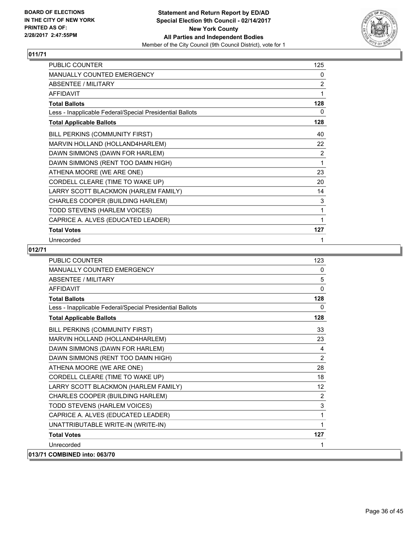

| PUBLIC COUNTER                                           | 125            |
|----------------------------------------------------------|----------------|
| MANUALLY COUNTED EMERGENCY                               | 0              |
| <b>ABSENTEE / MILITARY</b>                               | $\overline{2}$ |
| <b>AFFIDAVIT</b>                                         | 1              |
| <b>Total Ballots</b>                                     | 128            |
| Less - Inapplicable Federal/Special Presidential Ballots | 0              |
| <b>Total Applicable Ballots</b>                          | 128            |
| BILL PERKINS (COMMUNITY FIRST)                           | 40             |
| MARVIN HOLLAND (HOLLAND4HARLEM)                          | 22             |
| DAWN SIMMONS (DAWN FOR HARLEM)                           | $\overline{2}$ |
| DAWN SIMMONS (RENT TOO DAMN HIGH)                        | 1              |
| ATHENA MOORE (WE ARE ONE)                                | 23             |
| CORDELL CLEARE (TIME TO WAKE UP)                         | 20             |
| LARRY SCOTT BLACKMON (HARLEM FAMILY)                     | 14             |
| CHARLES COOPER (BUILDING HARLEM)                         | 3              |
| TODD STEVENS (HARLEM VOICES)                             | 1              |
| CAPRICE A. ALVES (EDUCATED LEADER)                       | 1              |
| <b>Total Votes</b>                                       | 127            |
| Unrecorded                                               | 1              |

| <b>PUBLIC COUNTER</b>                                    | 123            |
|----------------------------------------------------------|----------------|
| <b>MANUALLY COUNTED EMERGENCY</b>                        | $\Omega$       |
| <b>ABSENTEE / MILITARY</b>                               | 5              |
| <b>AFFIDAVIT</b>                                         | $\Omega$       |
| <b>Total Ballots</b>                                     | 128            |
| Less - Inapplicable Federal/Special Presidential Ballots | $\Omega$       |
| <b>Total Applicable Ballots</b>                          | 128            |
| BILL PERKINS (COMMUNITY FIRST)                           | 33             |
| MARVIN HOLLAND (HOLLAND4HARLEM)                          | 23             |
| DAWN SIMMONS (DAWN FOR HARLEM)                           | 4              |
| DAWN SIMMONS (RENT TOO DAMN HIGH)                        | $\overline{2}$ |
| ATHENA MOORE (WE ARE ONE)                                | 28             |
| CORDELL CLEARE (TIME TO WAKE UP)                         | 18             |
| LARRY SCOTT BLACKMON (HARLEM FAMILY)                     | 12             |
| CHARLES COOPER (BUILDING HARLEM)                         | 2              |
| TODD STEVENS (HARLEM VOICES)                             | 3              |
| CAPRICE A. ALVES (EDUCATED LEADER)                       | 1              |
| UNATTRIBUTABLE WRITE-IN (WRITE-IN)                       | 1              |
| <b>Total Votes</b>                                       | 127            |
| Unrecorded                                               | 1              |
| 013/71 COMBINED into: 063/70                             |                |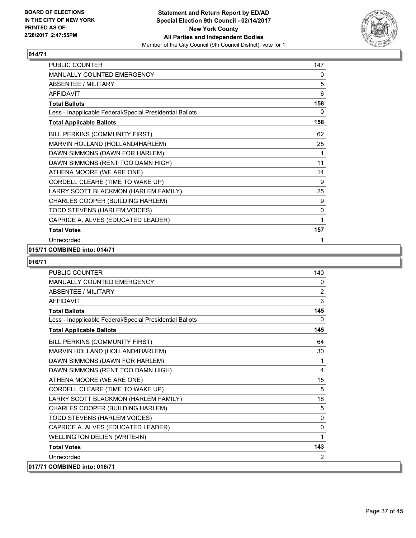

| PUBLIC COUNTER                                           | 147 |
|----------------------------------------------------------|-----|
| MANUALLY COUNTED EMERGENCY                               | 0   |
| <b>ABSENTEE / MILITARY</b>                               | 5   |
| <b>AFFIDAVIT</b>                                         | 6   |
| <b>Total Ballots</b>                                     | 158 |
| Less - Inapplicable Federal/Special Presidential Ballots | 0   |
| <b>Total Applicable Ballots</b>                          | 158 |
| BILL PERKINS (COMMUNITY FIRST)                           | 62  |
| MARVIN HOLLAND (HOLLAND4HARLEM)                          | 25  |
| DAWN SIMMONS (DAWN FOR HARLEM)                           | 1   |
| DAWN SIMMONS (RENT TOO DAMN HIGH)                        | 11  |
| ATHENA MOORE (WE ARE ONE)                                | 14  |
| CORDELL CLEARE (TIME TO WAKE UP)                         | 9   |
| LARRY SCOTT BLACKMON (HARLEM FAMILY)                     | 25  |
| CHARLES COOPER (BUILDING HARLEM)                         | 9   |
| TODD STEVENS (HARLEM VOICES)                             | 0   |
| CAPRICE A. ALVES (EDUCATED LEADER)                       | 1   |
| <b>Total Votes</b>                                       | 157 |
| Unrecorded                                               | 1   |

#### **015/71 COMBINED into: 014/71**

| <b>PUBLIC COUNTER</b>                                    | 140            |
|----------------------------------------------------------|----------------|
| MANUALLY COUNTED EMERGENCY                               | 0              |
| <b>ABSENTEE / MILITARY</b>                               | $\overline{2}$ |
| <b>AFFIDAVIT</b>                                         | 3              |
| <b>Total Ballots</b>                                     | 145            |
| Less - Inapplicable Federal/Special Presidential Ballots | $\mathbf{0}$   |
| <b>Total Applicable Ballots</b>                          | 145            |
| BILL PERKINS (COMMUNITY FIRST)                           | 64             |
| MARVIN HOLLAND (HOLLAND4HARLEM)                          | 30             |
| DAWN SIMMONS (DAWN FOR HARLEM)                           | 1              |
| DAWN SIMMONS (RENT TOO DAMN HIGH)                        | 4              |
| ATHENA MOORE (WE ARE ONE)                                | 15             |
| CORDELL CLEARE (TIME TO WAKE UP)                         | 5              |
| LARRY SCOTT BLACKMON (HARLEM FAMILY)                     | 18             |
| CHARLES COOPER (BUILDING HARLEM)                         | 5              |
| TODD STEVENS (HARLEM VOICES)                             | 0              |
| CAPRICE A. ALVES (EDUCATED LEADER)                       | 0              |
| <b>WELLINGTON DELIEN (WRITE-IN)</b>                      | 1              |
| <b>Total Votes</b>                                       | 143            |
| Unrecorded                                               | 2              |
| 017/71 COMBINED into: 016/71                             |                |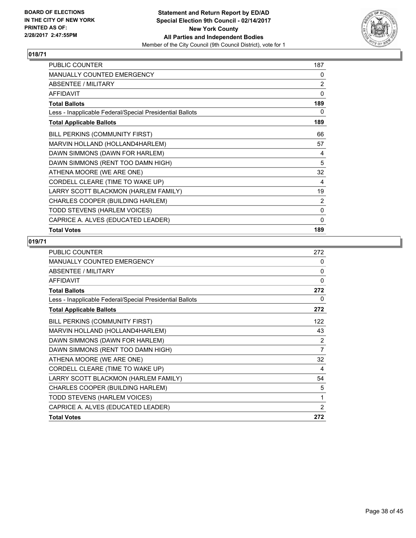

| PUBLIC COUNTER                                           | 187            |
|----------------------------------------------------------|----------------|
| MANUALLY COUNTED EMERGENCY                               | 0              |
| ABSENTEE / MILITARY                                      | $\overline{2}$ |
| <b>AFFIDAVIT</b>                                         | 0              |
| <b>Total Ballots</b>                                     | 189            |
| Less - Inapplicable Federal/Special Presidential Ballots | 0              |
| <b>Total Applicable Ballots</b>                          | 189            |
| BILL PERKINS (COMMUNITY FIRST)                           | 66             |
| MARVIN HOLLAND (HOLLAND4HARLEM)                          | 57             |
| DAWN SIMMONS (DAWN FOR HARLEM)                           | 4              |
| DAWN SIMMONS (RENT TOO DAMN HIGH)                        | 5              |
| ATHENA MOORE (WE ARE ONE)                                | 32             |
| CORDELL CLEARE (TIME TO WAKE UP)                         | 4              |
| LARRY SCOTT BLACKMON (HARLEM FAMILY)                     | 19             |
| CHARLES COOPER (BUILDING HARLEM)                         | $\overline{2}$ |
| TODD STEVENS (HARLEM VOICES)                             | 0              |
| CAPRICE A. ALVES (EDUCATED LEADER)                       | 0              |
| <b>Total Votes</b>                                       | 189            |

| <b>PUBLIC COUNTER</b>                                    | 272 |
|----------------------------------------------------------|-----|
| <b>MANUALLY COUNTED EMERGENCY</b>                        | 0   |
| ABSENTEE / MILITARY                                      | 0   |
| <b>AFFIDAVIT</b>                                         | 0   |
| <b>Total Ballots</b>                                     | 272 |
| Less - Inapplicable Federal/Special Presidential Ballots | 0   |
| <b>Total Applicable Ballots</b>                          | 272 |
| BILL PERKINS (COMMUNITY FIRST)                           | 122 |
| MARVIN HOLLAND (HOLLAND4HARLEM)                          | 43  |
| DAWN SIMMONS (DAWN FOR HARLEM)                           | 2   |
| DAWN SIMMONS (RENT TOO DAMN HIGH)                        | 7   |
| ATHENA MOORE (WE ARE ONE)                                | 32  |
| CORDELL CLEARE (TIME TO WAKE UP)                         | 4   |
| LARRY SCOTT BLACKMON (HARLEM FAMILY)                     | 54  |
| CHARLES COOPER (BUILDING HARLEM)                         | 5   |
| TODD STEVENS (HARLEM VOICES)                             | 1   |
| CAPRICE A. ALVES (EDUCATED LEADER)                       | 2   |
| <b>Total Votes</b>                                       | 272 |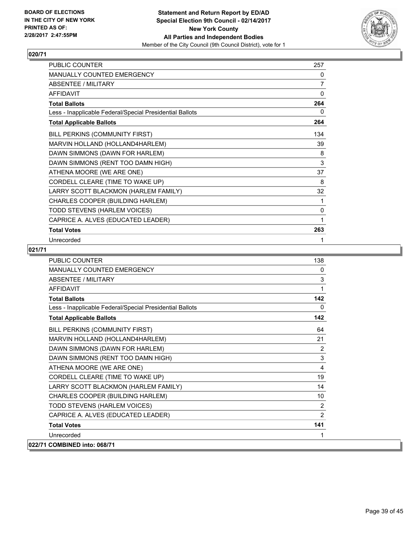

| PUBLIC COUNTER                                           | 257          |
|----------------------------------------------------------|--------------|
| MANUALLY COUNTED EMERGENCY                               | 0            |
| ABSENTEE / MILITARY                                      | 7            |
| <b>AFFIDAVIT</b>                                         | $\mathbf{0}$ |
| <b>Total Ballots</b>                                     | 264          |
| Less - Inapplicable Federal/Special Presidential Ballots | 0            |
| <b>Total Applicable Ballots</b>                          | 264          |
| BILL PERKINS (COMMUNITY FIRST)                           | 134          |
| MARVIN HOLLAND (HOLLAND4HARLEM)                          | 39           |
| DAWN SIMMONS (DAWN FOR HARLEM)                           | 8            |
| DAWN SIMMONS (RENT TOO DAMN HIGH)                        | 3            |
| ATHENA MOORE (WE ARE ONE)                                | 37           |
| CORDELL CLEARE (TIME TO WAKE UP)                         | 8            |
| LARRY SCOTT BLACKMON (HARLEM FAMILY)                     | 32           |
| CHARLES COOPER (BUILDING HARLEM)                         | 1            |
| TODD STEVENS (HARLEM VOICES)                             | 0            |
| CAPRICE A. ALVES (EDUCATED LEADER)                       | 1            |
| <b>Total Votes</b>                                       | 263          |
| Unrecorded                                               | 1            |

| <b>PUBLIC COUNTER</b>                                    | 138          |
|----------------------------------------------------------|--------------|
| MANUALLY COUNTED EMERGENCY                               | $\mathbf{0}$ |
| ABSENTEE / MILITARY                                      | 3            |
| <b>AFFIDAVIT</b>                                         | 1            |
| <b>Total Ballots</b>                                     | 142          |
| Less - Inapplicable Federal/Special Presidential Ballots | $\mathbf{0}$ |
| <b>Total Applicable Ballots</b>                          | 142          |
| BILL PERKINS (COMMUNITY FIRST)                           | 64           |
| MARVIN HOLLAND (HOLLAND4HARLEM)                          | 21           |
| DAWN SIMMONS (DAWN FOR HARLEM)                           | 2            |
| DAWN SIMMONS (RENT TOO DAMN HIGH)                        | 3            |
| ATHENA MOORE (WE ARE ONE)                                | 4            |
| CORDELL CLEARE (TIME TO WAKE UP)                         | 19           |
| LARRY SCOTT BLACKMON (HARLEM FAMILY)                     | 14           |
| CHARLES COOPER (BUILDING HARLEM)                         | 10           |
| TODD STEVENS (HARLEM VOICES)                             | 2            |
| CAPRICE A. ALVES (EDUCATED LEADER)                       | 2            |
| <b>Total Votes</b>                                       | 141          |
| Unrecorded                                               | 1            |
| 022/71 COMBINED into: 068/71                             |              |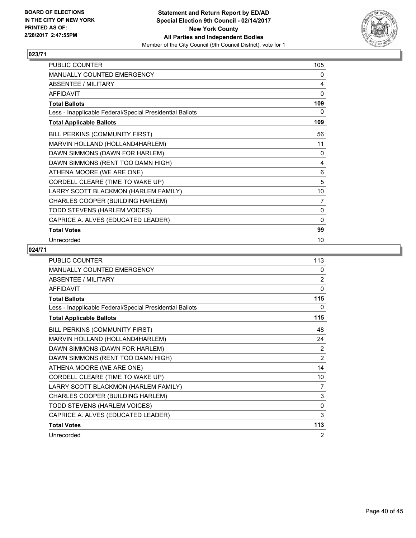

| PUBLIC COUNTER                                           | 105 |
|----------------------------------------------------------|-----|
| MANUALLY COUNTED EMERGENCY                               | 0   |
| <b>ABSENTEE / MILITARY</b>                               | 4   |
| <b>AFFIDAVIT</b>                                         | 0   |
| <b>Total Ballots</b>                                     | 109 |
| Less - Inapplicable Federal/Special Presidential Ballots | 0   |
| <b>Total Applicable Ballots</b>                          | 109 |
| BILL PERKINS (COMMUNITY FIRST)                           | 56  |
| MARVIN HOLLAND (HOLLAND4HARLEM)                          | 11  |
| DAWN SIMMONS (DAWN FOR HARLEM)                           | 0   |
| DAWN SIMMONS (RENT TOO DAMN HIGH)                        | 4   |
| ATHENA MOORE (WE ARE ONE)                                | 6   |
| CORDELL CLEARE (TIME TO WAKE UP)                         | 5   |
| LARRY SCOTT BLACKMON (HARLEM FAMILY)                     | 10  |
| CHARLES COOPER (BUILDING HARLEM)                         | 7   |
| TODD STEVENS (HARLEM VOICES)                             | 0   |
| CAPRICE A. ALVES (EDUCATED LEADER)                       | 0   |
| <b>Total Votes</b>                                       | 99  |
| Unrecorded                                               | 10  |

| PUBLIC COUNTER                                           | 113            |
|----------------------------------------------------------|----------------|
| MANUALLY COUNTED EMERGENCY                               | 0              |
| <b>ABSENTEE / MILITARY</b>                               | 2              |
| <b>AFFIDAVIT</b>                                         | $\mathbf{0}$   |
| <b>Total Ballots</b>                                     | 115            |
| Less - Inapplicable Federal/Special Presidential Ballots | 0              |
| <b>Total Applicable Ballots</b>                          | 115            |
| BILL PERKINS (COMMUNITY FIRST)                           | 48             |
| MARVIN HOLLAND (HOLLAND4HARLEM)                          | 24             |
| DAWN SIMMONS (DAWN FOR HARLEM)                           | 2              |
| DAWN SIMMONS (RENT TOO DAMN HIGH)                        | $\overline{2}$ |
| ATHENA MOORE (WE ARE ONE)                                | 14             |
| CORDELL CLEARE (TIME TO WAKE UP)                         | 10             |
| LARRY SCOTT BLACKMON (HARLEM FAMILY)                     | 7              |
| CHARLES COOPER (BUILDING HARLEM)                         | 3              |
| TODD STEVENS (HARLEM VOICES)                             | $\mathbf{0}$   |
| CAPRICE A. ALVES (EDUCATED LEADER)                       | 3              |
| <b>Total Votes</b>                                       | 113            |
| Unrecorded                                               | 2              |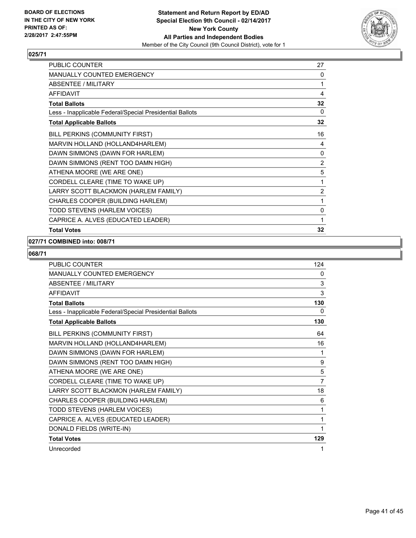

| <b>PUBLIC COUNTER</b>                                    | 27             |
|----------------------------------------------------------|----------------|
| <b>MANUALLY COUNTED EMERGENCY</b>                        | 0              |
| <b>ABSENTEE / MILITARY</b>                               | 1              |
| <b>AFFIDAVIT</b>                                         | 4              |
| <b>Total Ballots</b>                                     | 32             |
| Less - Inapplicable Federal/Special Presidential Ballots | 0              |
| <b>Total Applicable Ballots</b>                          | 32             |
| BILL PERKINS (COMMUNITY FIRST)                           | 16             |
| MARVIN HOLLAND (HOLLAND4HARLEM)                          | 4              |
| DAWN SIMMONS (DAWN FOR HARLEM)                           | 0              |
| DAWN SIMMONS (RENT TOO DAMN HIGH)                        | $\overline{2}$ |
| ATHENA MOORE (WE ARE ONE)                                | 5              |
| CORDELL CLEARE (TIME TO WAKE UP)                         | 1              |
| LARRY SCOTT BLACKMON (HARLEM FAMILY)                     | $\overline{2}$ |
| CHARLES COOPER (BUILDING HARLEM)                         | 1              |
| TODD STEVENS (HARLEM VOICES)                             | $\mathbf{0}$   |
| CAPRICE A. ALVES (EDUCATED LEADER)                       | 1              |
| <b>Total Votes</b>                                       | 32             |

#### **027/71 COMBINED into: 008/71**

| <b>PUBLIC COUNTER</b>                                    | 124            |
|----------------------------------------------------------|----------------|
| <b>MANUALLY COUNTED EMERGENCY</b>                        | 0              |
| <b>ABSENTEE / MILITARY</b>                               | 3              |
| <b>AFFIDAVIT</b>                                         | 3              |
| <b>Total Ballots</b>                                     | 130            |
| Less - Inapplicable Federal/Special Presidential Ballots | 0              |
| <b>Total Applicable Ballots</b>                          | 130            |
| BILL PERKINS (COMMUNITY FIRST)                           | 64             |
| MARVIN HOLLAND (HOLLAND4HARLEM)                          | 16             |
| DAWN SIMMONS (DAWN FOR HARLEM)                           | 1              |
| DAWN SIMMONS (RENT TOO DAMN HIGH)                        | 9              |
| ATHENA MOORE (WE ARE ONE)                                | 5              |
| CORDELL CLEARE (TIME TO WAKE UP)                         | $\overline{7}$ |
| LARRY SCOTT BLACKMON (HARLEM FAMILY)                     | 18             |
| CHARLES COOPER (BUILDING HARLEM)                         | 6              |
| TODD STEVENS (HARLEM VOICES)                             | 1              |
| CAPRICE A. ALVES (EDUCATED LEADER)                       | 1              |
| DONALD FIELDS (WRITE-IN)                                 | 1              |
| <b>Total Votes</b>                                       | 129            |
| Unrecorded                                               | 1              |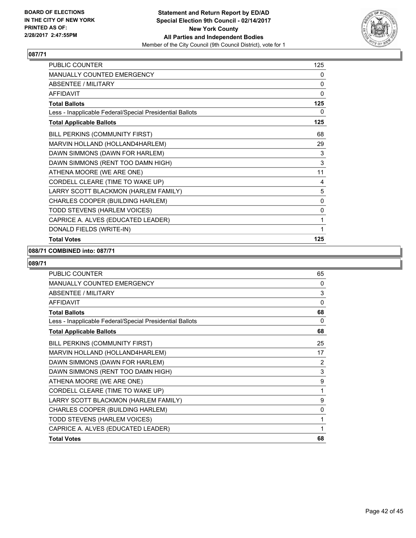

| PUBLIC COUNTER                                           | 125         |
|----------------------------------------------------------|-------------|
| MANUALLY COUNTED EMERGENCY                               | 0           |
| <b>ABSENTEE / MILITARY</b>                               | 0           |
| <b>AFFIDAVIT</b>                                         | 0           |
| <b>Total Ballots</b>                                     | 125         |
| Less - Inapplicable Federal/Special Presidential Ballots | 0           |
| <b>Total Applicable Ballots</b>                          | 125         |
| BILL PERKINS (COMMUNITY FIRST)                           | 68          |
| MARVIN HOLLAND (HOLLAND4HARLEM)                          | 29          |
| DAWN SIMMONS (DAWN FOR HARLEM)                           | 3           |
| DAWN SIMMONS (RENT TOO DAMN HIGH)                        | $\mathsf 3$ |
| ATHENA MOORE (WE ARE ONE)                                | 11          |
| CORDELL CLEARE (TIME TO WAKE UP)                         | 4           |
| LARRY SCOTT BLACKMON (HARLEM FAMILY)                     | 5           |
| CHARLES COOPER (BUILDING HARLEM)                         | 0           |
| TODD STEVENS (HARLEM VOICES)                             | $\mathbf 0$ |
| CAPRICE A. ALVES (EDUCATED LEADER)                       | 1           |
| DONALD FIELDS (WRITE-IN)                                 | 1           |
| <b>Total Votes</b>                                       | 125         |

#### **088/71 COMBINED into: 087/71**

| <b>PUBLIC COUNTER</b>                                    | 65             |
|----------------------------------------------------------|----------------|
| MANUALLY COUNTED EMERGENCY                               | 0              |
| <b>ABSENTEE / MILITARY</b>                               | 3              |
| <b>AFFIDAVIT</b>                                         | 0              |
| <b>Total Ballots</b>                                     | 68             |
| Less - Inapplicable Federal/Special Presidential Ballots | 0              |
| <b>Total Applicable Ballots</b>                          | 68             |
| BILL PERKINS (COMMUNITY FIRST)                           | 25             |
| MARVIN HOLLAND (HOLLAND4HARLEM)                          | 17             |
| DAWN SIMMONS (DAWN FOR HARLEM)                           | $\overline{2}$ |
| DAWN SIMMONS (RENT TOO DAMN HIGH)                        | 3              |
| ATHENA MOORE (WE ARE ONE)                                | 9              |
| CORDELL CLEARE (TIME TO WAKE UP)                         | 1              |
| LARRY SCOTT BLACKMON (HARLEM FAMILY)                     | 9              |
| CHARLES COOPER (BUILDING HARLEM)                         | 0              |
| TODD STEVENS (HARLEM VOICES)                             | 1              |
| CAPRICE A. ALVES (EDUCATED LEADER)                       | 1              |
| <b>Total Votes</b>                                       | 68             |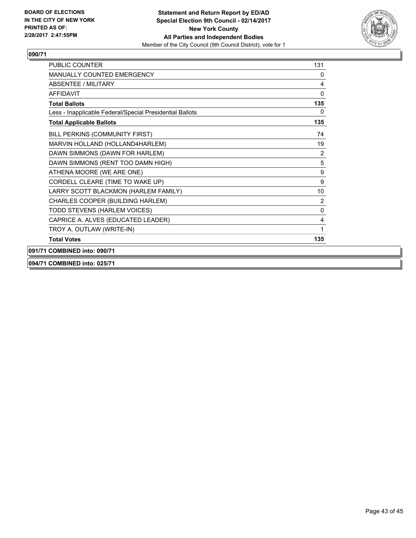

| <b>PUBLIC COUNTER</b>                                    | 131 |
|----------------------------------------------------------|-----|
| MANUALLY COUNTED EMERGENCY                               | 0   |
| ABSENTEE / MILITARY                                      | 4   |
| <b>AFFIDAVIT</b>                                         | 0   |
| <b>Total Ballots</b>                                     | 135 |
| Less - Inapplicable Federal/Special Presidential Ballots | 0   |
| <b>Total Applicable Ballots</b>                          | 135 |
| BILL PERKINS (COMMUNITY FIRST)                           | 74  |
| MARVIN HOLLAND (HOLLAND4HARLEM)                          | 19  |
| DAWN SIMMONS (DAWN FOR HARLEM)                           | 2   |
| DAWN SIMMONS (RENT TOO DAMN HIGH)                        | 5   |
| ATHENA MOORE (WE ARE ONE)                                | 9   |
| CORDELL CLEARE (TIME TO WAKE UP)                         | 9   |
| LARRY SCOTT BLACKMON (HARLEM FAMILY)                     | 10  |
| CHARLES COOPER (BUILDING HARLEM)                         | 2   |
| TODD STEVENS (HARLEM VOICES)                             | 0   |
| CAPRICE A. ALVES (EDUCATED LEADER)                       | 4   |
| TROY A. OUTLAW (WRITE-IN)                                | 1   |
| <b>Total Votes</b>                                       | 135 |
| 091/71 COMBINED into: 090/71                             |     |

**094/71 COMBINED into: 025/71**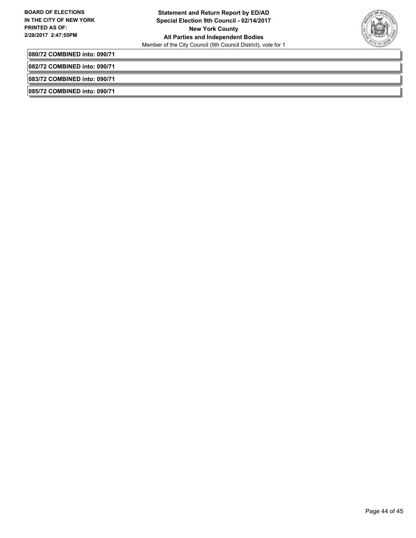

**080/72 COMBINED into: 090/71**

**082/72 COMBINED into: 090/71**

**083/72 COMBINED into: 090/71**

**085/72 COMBINED into: 090/71**